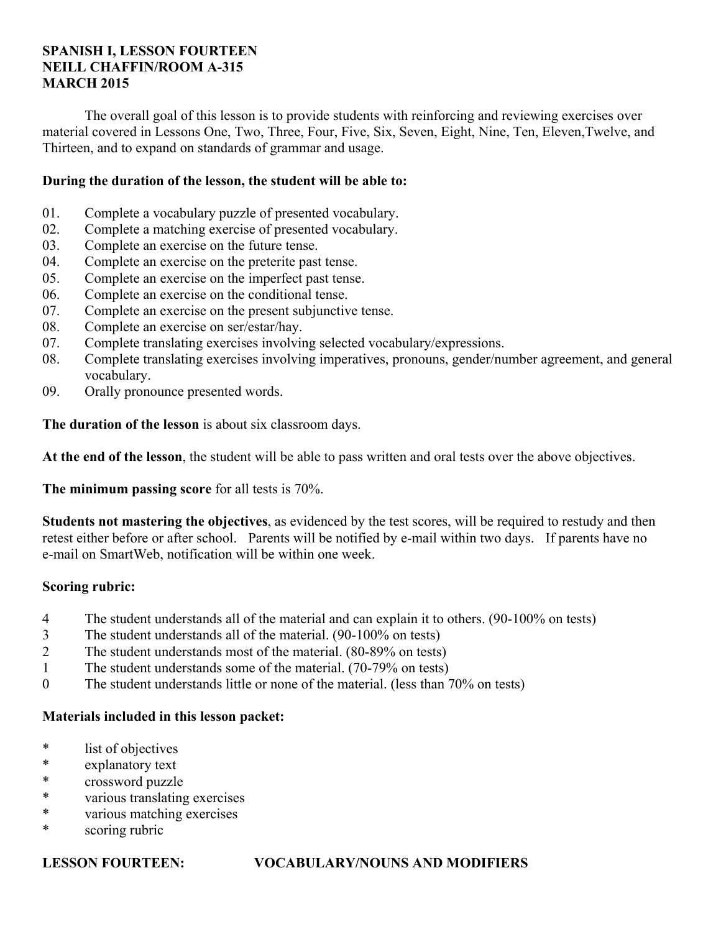## **SPANISH I, LESSON FOURTEEN NEILL CHAFFIN/ROOM A-315 MARCH 2015**

 The overall goal of this lesson is to provide students with reinforcing and reviewing exercises over material covered in Lessons One, Two, Three, Four, Five, Six, Seven, Eight, Nine, Ten, Eleven,Twelve, and Thirteen, and to expand on standards of grammar and usage.

## **During the duration of the lesson, the student will be able to:**

- 01. Complete a vocabulary puzzle of presented vocabulary.
- 02. Complete a matching exercise of presented vocabulary.
- 03. Complete an exercise on the future tense.
- 04. Complete an exercise on the preterite past tense.
- 05. Complete an exercise on the imperfect past tense.
- 06. Complete an exercise on the conditional tense.
- 07. Complete an exercise on the present subjunctive tense.
- 08. Complete an exercise on ser/estar/hay.
- 07. Complete translating exercises involving selected vocabulary/expressions.
- 08. Complete translating exercises involving imperatives, pronouns, gender/number agreement, and general vocabulary.
- 09. Orally pronounce presented words.

**The duration of the lesson** is about six classroom days.

**At the end of the lesson**, the student will be able to pass written and oral tests over the above objectives.

**The minimum passing score** for all tests is 70%.

**Students not mastering the objectives**, as evidenced by the test scores, will be required to restudy and then retest either before or after school. Parents will be notified by e-mail within two days. If parents have no e-mail on SmartWeb, notification will be within one week.

### **Scoring rubric:**

- 4 The student understands all of the material and can explain it to others. (90-100% on tests)
- 3 The student understands all of the material. (90-100% on tests)
- 2 The student understands most of the material. (80-89% on tests)
- 1 The student understands some of the material. (70-79% on tests)
- 0 The student understands little or none of the material. (less than 70% on tests)

## **Materials included in this lesson packet:**

- \* list of objectives
- \* explanatory text
- \* crossword puzzle
- \* various translating exercises
- \* various matching exercises
- \* scoring rubric

## **LESSON FOURTEEN: VOCABULARY/NOUNS AND MODIFIERS**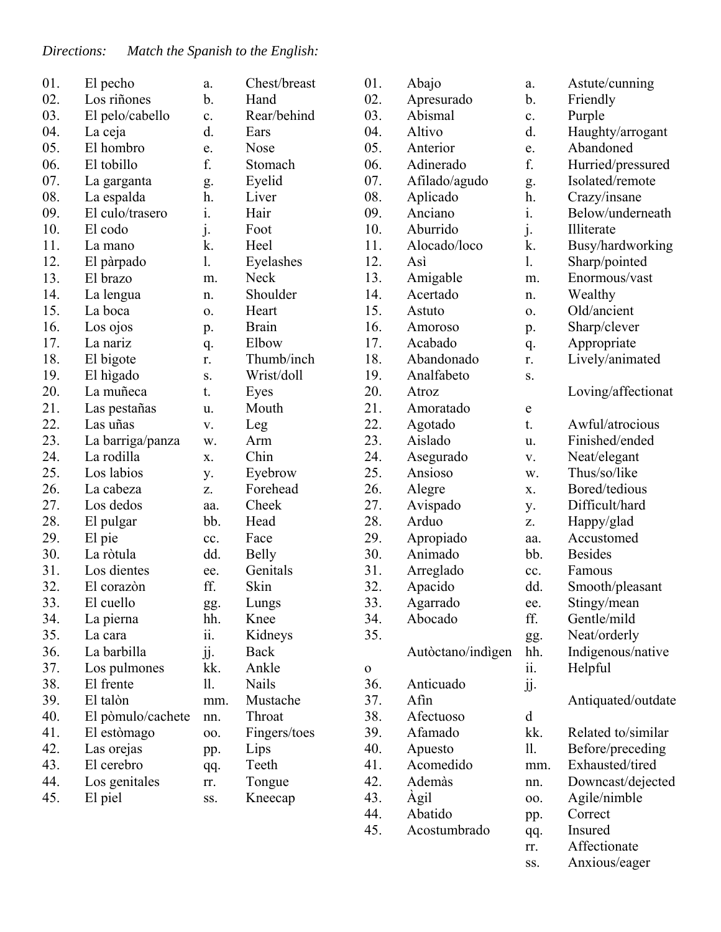| 01. | El pecho          | a.         | Chest/breast | 01.         | Abajo             | a.          | Astute/cunning     |
|-----|-------------------|------------|--------------|-------------|-------------------|-------------|--------------------|
| 02. | Los riñones       | b.         | Hand         | 02.         | Apresurado        | b.          | Friendly           |
| 03. | El pelo/cabello   | c.         | Rear/behind  | 03.         | Abismal           | c.          | Purple             |
| 04. | La ceja           | d.         | Ears         | 04.         | Altivo            | d.          | Haughty/arrogant   |
| 05. | El hombro         | e.         | Nose         | 05.         | Anterior          | e.          | Abandoned          |
| 06. | El tobillo        | f.         | Stomach      | 06.         | Adinerado         | f.          | Hurried/pressured  |
| 07. | La garganta       | g.         | Eyelid       | 07.         | Afilado/agudo     | g.          | Isolated/remote    |
| 08. | La espalda        | h.         | Liver        | 08.         | Aplicado          | h.          | Crazy/insane       |
| 09. | El culo/trasero   | i.         | Hair         | 09.         | Anciano           | i.          | Below/underneath   |
| 10. | El codo           | j.         | Foot         | 10.         | Aburrido          | j.          | Illiterate         |
| 11. | La mano           | k.         | Heel         | 11.         | Alocado/loco      | k.          | Busy/hardworking   |
| 12. | El pàrpado        | 1.         | Eyelashes    | 12.         | Asi               | 1.          | Sharp/pointed      |
| 13. | El brazo          | m.         | Neck         | 13.         | Amigable          | m.          | Enormous/vast      |
| 14. | La lengua         | n.         | Shoulder     | 14.         | Acertado          | n.          | Wealthy            |
| 15. | La boca           | 0.         | Heart        | 15.         | Astuto            | 0.          | Old/ancient        |
| 16. | Los ojos          | p.         | <b>Brain</b> | 16.         | Amoroso           | p.          | Sharp/clever       |
| 17. | La nariz          | q.         | Elbow        | 17.         | Acabado           | q.          | Appropriate        |
| 18. | El bigote         | r.         | Thumb/inch   | 18.         | Abandonado        | r.          | Lively/animated    |
| 19. | El hìgado         | S.         | Wrist/doll   | 19.         | Analfabeto        | S.          |                    |
| 20. | La muñeca         | t.         | Eyes         | 20.         | Atroz             |             | Loving/affectionat |
| 21. | Las pestañas      | u.         | Mouth        | 21.         | Amoratado         | $\mathbf e$ |                    |
| 22. | Las uñas          | V.         | Leg          | 22.         | Agotado           | t.          | Awful/atrocious    |
| 23. | La barriga/panza  | w.         | Arm          | 23.         | Aislado           | u.          | Finished/ended     |
| 24. | La rodilla        | X.         | Chin         | 24.         | Asegurado         | V.          | Neat/elegant       |
| 25. | Los labios        | у.         | Eyebrow      | 25.         | Ansioso           | w.          | Thus/so/like       |
| 26. | La cabeza         | Z.         | Forehead     | 26.         | Alegre            | X.          | Bored/tedious      |
| 27. | Los dedos         | aa.        | Cheek        | 27.         | Avispado          | y.          | Difficult/hard     |
| 28. | El pulgar         | bb.        | Head         | 28.         | Arduo             | Z.          | Happy/glad         |
| 29. | El pie            | cc.        | Face         | 29.         | Apropiado         | aa.         | Accustomed         |
| 30. | La ròtula         | dd.        | <b>Belly</b> | 30.         | Animado           | bb.         | <b>Besides</b>     |
| 31. | Los dientes       | ee.        | Genitals     | 31.         | Arreglado         | cc.         | Famous             |
| 32. | El corazón        | ff.        | Skin         | 32.         | Apacido           | dd.         | Smooth/pleasant    |
| 33. | El cuello         | gg.        | Lungs        | 33.         | Agarrado          | ee.         | Stingy/mean        |
| 34. | La pierna         | hh.        | Knee         | 34.         | Abocado           | ff.         | Gentle/mild        |
| 35. | La cara           | ii.        | Kidneys      | 35.         |                   | gg.         | Neat/orderly       |
| 36. | La barbilla       | jj.        | Back         |             | Autòctano/indigen | hh.         | Indigenous/native  |
| 37. | Los pulmones      | kk.        | Ankle        | $\mathbf O$ |                   | ii.         | Helpful            |
| 38. | El frente         | 11.        | Nails        | 36.         | Anticuado         | jj.         |                    |
| 39. | El talòn          | mm.        | Mustache     | 37.         | Afin              |             | Antiquated/outdate |
| 40. | El pòmulo/cachete | nn.        | Throat       | 38.         | Afectuoso         | d           |                    |
| 41. | El estòmago       | 00.        | Fingers/toes | 39.         | Afamado           | kk.         | Related to/similar |
| 42. | Las orejas        |            | Lips         | 40.         | Apuesto           | 11.         | Before/preceding   |
| 43. | El cerebro        | pp.        | Teeth        | 41.         | Acomedido         |             | Exhausted/tired    |
| 44. | Los genitales     | qq.        | Tongue       | 42.         | Ademàs            | mm.<br>nn.  | Downcast/dejected  |
| 45. | El piel           | rr.<br>SS. | Kneecap      | 43.         | Agil              | 00.         | Agile/nimble       |
|     |                   |            |              | 44.         | Abatido           |             | Correct            |
|     |                   |            |              | 45.         | Acostumbrado      | pp.         | Insured            |
|     |                   |            |              |             |                   | qq.         |                    |

rr. Affectionate ss. Anxious/eager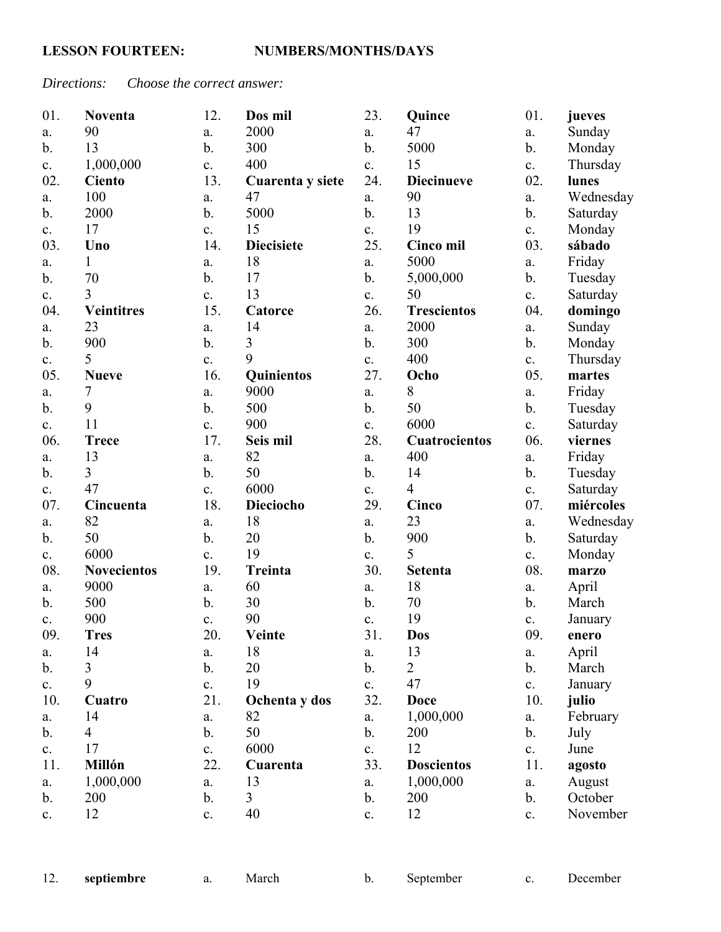# *Directions: Choose the correct answer:*

| 01.            | <b>Noventa</b>     | 12.            | Dos mil           | 23.            | Quince               | 01.            | jueves    |
|----------------|--------------------|----------------|-------------------|----------------|----------------------|----------------|-----------|
| a.             | 90                 | a.             | 2000              | a.             | 47                   | a.             | Sunday    |
| $\mathbf{b}$ . | 13                 | $\mathbf b$ .  | 300               | $\mathbf b$ .  | 5000                 | $\mathbf b$ .  | Monday    |
| c.             | 1,000,000          | $\mathbf{c}$ . | 400               | $\mathbf{c}$ . | 15                   | c.             | Thursday  |
| 02.            | <b>Ciento</b>      | 13.            | Cuarenta y siete  | 24.            | <b>Diecinueve</b>    | 02.            | lunes     |
| a.             | 100                | a.             | 47                | a.             | 90                   | a.             | Wednesday |
| $\mathbf b$ .  | 2000               | b.             | 5000              | $b$ .          | 13                   | $\mathbf{b}$ . | Saturday  |
| $\mathbf{c}$ . | 17                 | c.             | 15                | $\mathbf{c}$ . | 19                   | c.             | Monday    |
| 03.            | Uno                | 14.            | <b>Diecisiete</b> | 25.            | <b>Cinco mil</b>     | 03.            | sábado    |
| a.             | $\mathbf{1}$       | a.             | 18                | a.             | 5000                 | a.             | Friday    |
| $\mathbf{b}$ . | 70                 | b.             | 17                | $\mathbf b$ .  | 5,000,000            | $\mathbf{b}$ . | Tuesday   |
| c.             | 3                  | c.             | 13                | c.             | 50                   | c.             | Saturday  |
| 04.            | <b>Veintitres</b>  | 15.            | Catorce           | 26.            | <b>Trescientos</b>   | 04.            | domingo   |
| a.             | 23                 | a.             | 14                | a.             | 2000                 | a.             | Sunday    |
| $\mathbf{b}$ . | 900                | b.             | 3                 | $\mathbf b$ .  | 300                  | $\mathbf b$ .  | Monday    |
| c.             | 5                  | c.             | 9                 | c.             | 400                  | c.             | Thursday  |
| 05.            | <b>Nueve</b>       | 16.            | Quinientos        | 27.            | Ocho                 | 05.            | martes    |
| a.             | 7                  | a.             | 9000              | a.             | 8                    | a.             | Friday    |
| $\mathbf b$ .  | 9                  | b.             | 500               | $\mathbf b$ .  | 50                   | $\mathbf b$ .  | Tuesday   |
| c.             | 11                 | c.             | 900               | $\mathbf{c}$ . | 6000                 | c.             | Saturday  |
| 06.            | <b>Trece</b>       | 17.            | Seis mil          | 28.            | <b>Cuatrocientos</b> | 06.            | viernes   |
| a.             | 13                 | a.             | 82                | a.             | 400                  | a.             | Friday    |
| $\mathbf{b}$ . | $\overline{3}$     | $\mathbf b$ .  | 50                | $\mathbf b$ .  | 14                   | $\mathbf b$ .  | Tuesday   |
| c.             | 47                 | c.             | 6000              | c.             | $\overline{4}$       | c.             | Saturday  |
| 07.            | Cincuenta          | 18.            | Dieciocho         | 29.            | Cinco                | 07.            | miércoles |
| a.             | 82                 | a.             | 18                | a.             | 23                   | a.             | Wednesday |
| b.             | 50                 | b.             | 20                | $\mathbf b$ .  | 900                  | $\mathbf b$ .  | Saturday  |
| $\mathbf{c}$ . | 6000               | $\mathbf{c}$ . | 19                | c.             | 5                    | c.             | Monday    |
| 08.            | <b>Novecientos</b> | 19.            | Treinta           | 30.            | <b>Setenta</b>       | 08.            | marzo     |
| a.             | 9000               | a.             | 60                | a.             | 18                   | a.             | April     |
| b.             | 500                | b.             | 30                | $\mathbf b$ .  | 70                   | $\mathbf b$ .  | March     |
| c.             | 900                | c.             | 90                | c.             | 19                   | c.             | January   |
| 09.            | <b>Tres</b>        | 20.            | Veinte            | 31.            | <b>Dos</b>           | 09.            | enero     |
| a.             | 14                 | a.             | 18                | a.             | 13                   | a.             | April     |
| $\mathbf b$ .  | 3                  | $\mathbf b$ .  | 20                | $\mathbf b$ .  | $\overline{2}$       | b.             | March     |
| c.             | 9                  | $\mathbf{c}$ . | 19                | c.             | 47                   | c.             | January   |
| 10.            | Cuatro             | 21.            | Ochenta y dos     | 32.            | <b>Doce</b>          | 10.            | julio     |
| a.             | 14                 | a.             | 82                | a.             | 1,000,000            | a.             | February  |
| $\mathbf{b}$ . | $\overline{4}$     | $\mathbf b$ .  | 50                | $\mathbf{b}$ . | 200                  | $\mathbf{b}$ . | July      |
| c.             | 17                 | c.             | 6000              | c.             | 12                   | c.             | June      |
| 11.            | <b>Millón</b>      | 22.            | Cuarenta          | 33.            | <b>Doscientos</b>    | 11.            | agosto    |
| a.             | 1,000,000          | a.             | 13                | a.             | 1,000,000            | a.             | August    |
| $\mathbf b$ .  | 200                | b.             | 3                 | $\mathbf b$ .  | 200                  | $\mathbf b$ .  | October   |
| c.             | 12                 | $\mathbf{c}$ . | 40                | $\mathbf{c}$ . | 12                   | c.             | November  |

|  | septiembre |  | March |  | September |  | December |
|--|------------|--|-------|--|-----------|--|----------|
|--|------------|--|-------|--|-----------|--|----------|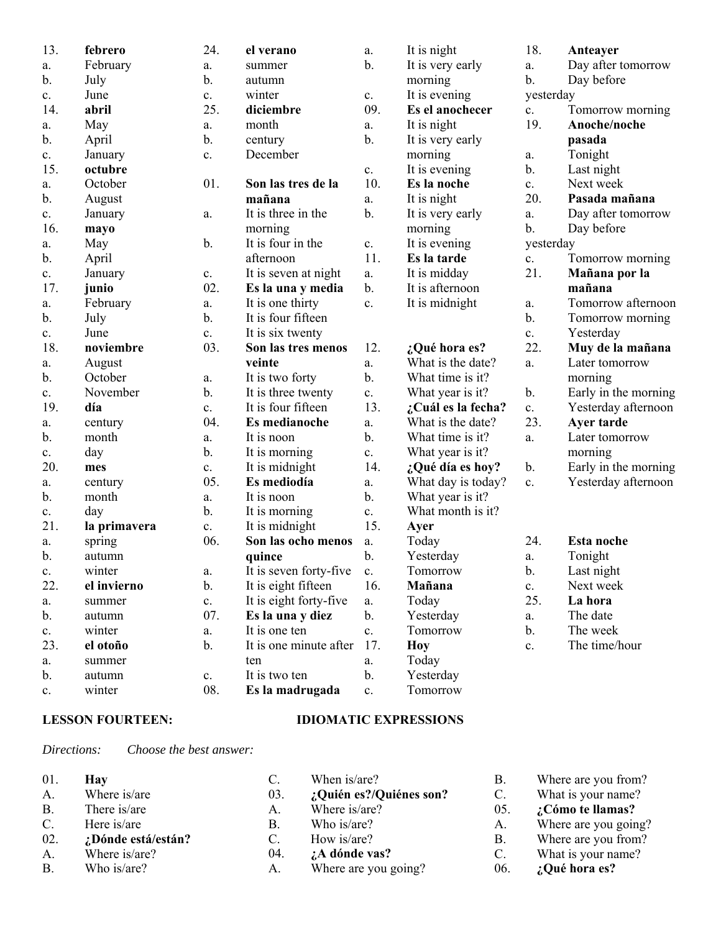| 13.           | febrero      | 24.            | el verano                 | a.             | It is night        | 18.            | Anteayer             |
|---------------|--------------|----------------|---------------------------|----------------|--------------------|----------------|----------------------|
| a.            | February     | a.             | summer                    | $b$ .          | It is very early   | a.             | Day after tomorrow   |
| b.            | July         | b.             | autumn                    |                | morning            | $\mathbf{b}$ . | Day before           |
| $\mathbf{c}.$ | June         | c.             | winter                    | $\mathbf{c}.$  | It is evening      | yesterday      |                      |
| 14.           | abril        | 25.            | diciembre                 | 09.            | Es el anochecer    | c.             | Tomorrow morning     |
| a.            | May          | a.             | month                     | a.             | It is night        | 19.            | Anoche/noche         |
| b.            | April        | b.             | century                   | $\mathbf b$ .  | It is very early   |                | pasada               |
| $\mathbf{c}.$ | January      | c.             | December                  |                | morning            | a.             | Tonight              |
| 15.           | octubre      |                |                           | $\mathbf{c}.$  | It is evening      | $\mathbf b$ .  | Last night           |
| a.            | October      | 01.            | Son las tres de la        | 10.            | Es la noche        | c.             | Next week            |
| b.            | August       |                | mañana                    | a.             | It is night        | 20.            | Pasada mañana        |
| c.            | January      | a.             | It is three in the        | $\mathbf b$ .  | It is very early   | a.             | Day after tomorrow   |
| 16.           | mayo         |                | morning                   |                | morning            | $\mathbf{b}$ . | Day before           |
| a.            | May          | $b$ .          | It is four in the         | $\mathbf{c}.$  | It is evening      | yesterday      |                      |
| $\mathbf b$ . | April        |                | afternoon                 | 11.            | Es la tarde        | $\mathbf{c}$ . | Tomorrow morning     |
| c.            | January      | c.             | It is seven at night      | a.             | It is midday       | 21.            | Mañana por la        |
| 17.           | junio        | 02.            | Es la una y media         | $\mathbf{b}$ . | It is afternoon    |                | mañana               |
| a.            | February     | a.             | It is one thirty          | c.             | It is midnight     | a.             | Tomorrow afternoon   |
| $\mathbf b$ . | July         | b.             | It is four fifteen        |                |                    | $\mathbf{b}$ . | Tomorrow morning     |
| $\mathbf{c}.$ | June         | c.             | It is six twenty          |                |                    | c.             | Yesterday            |
| 18.           | noviembre    | 03.            | Son las tres menos        | 12.            | ¿Qué hora es?      | 22.            | Muy de la mañana     |
| a.            | August       |                | veinte                    | a.             | What is the date?  | a.             | Later tomorrow       |
| b.            | October      | a.             | It is two forty           | b.             | What time is it?   |                | morning              |
| c.            | November     | b.             | It is three twenty        | c.             | What year is it?   | $\mathbf b$ .  | Early in the morning |
| 19.           | día          | $\mathbf{c}$ . | It is four fifteen        | 13.            | ¿Cuál es la fecha? | c.             | Yesterday afternoon  |
| a.            | century      | 04.            | Es medianoche             | a.             | What is the date?  | 23.            | Ayer tarde           |
| b.            | month        | a.             | It is noon                | $\mathbf b$ .  | What time is it?   | a.             | Later tomorrow       |
| $\mathbf{c}.$ | day          | b.             | It is morning             | c.             | What year is it?   |                | morning              |
| 20.           | mes          | c.             | It is midnight            | 14.            | ¿Qué día es hoy?   | $\mathbf b$ .  | Early in the morning |
| a.            | century      | 05.            | Es mediodía               | a.             | What day is today? | $\mathbf{c}$ . | Yesterday afternoon  |
| b.            | month        | a.             | It is noon                | b.             | What year is it?   |                |                      |
| c.            | day          | b.             | It is morning             | c.             | What month is it?  |                |                      |
| 21.           | la primavera | c.             | It is midnight            | 15.            | Ayer               |                |                      |
| a.            | spring       | 06.            | Son las ocho menos        | a.             | Today              | 24.            | Esta noche           |
| b.            | autumn       |                | quince                    | $b$ .          | Yesterday          | a.             | Tonight              |
| $\mathbf{c}.$ | winter       | ${\bf a}.$     | It is seven forty-five c. |                | Tomorrow           | $b$ .          | Last night           |
| 22.           | el invierno  | b.             | It is eight fifteen       | 16.            | Mañana             | c.             | Next week            |
| a.            | summer       | c.             | It is eight forty-five    | a.             | Today              | 25.            | La hora              |
| b.            | autumn       | 07.            | Es la una y diez          | $b$ .          | Yesterday          | ${\bf a}.$     | The date             |
| c.            | winter       | a.             | It is one ten             | $\mathbf{c}$ . | Tomorrow           | $\mathbf b$ .  | The week             |
| 23.           | el otoño     | b.             | It is one minute after    | 17.            | <b>Hoy</b>         | $\mathbf{c}$ . | The time/hour        |
| a.            | summer       |                | ten                       | a.             | Today              |                |                      |
| b.            | autumn       | $\mathbf{c}.$  | It is two ten             | $\mathbf b$ .  | Yesterday          |                |                      |
| c.            | winter       | 08.            | Es la madrugada           | $\mathbf{c}.$  | Tomorrow           |                |                      |

# **LESSON FOURTEEN: IDIOMATIC EXPRESSIONS**

*Directions: Choose the best answer:*

| 01. | Hav                |     | When is/are?            | В.        | Where are you from?  |
|-----|--------------------|-----|-------------------------|-----------|----------------------|
| A.  | Where is/are       | 03. | ¿Quién es?/Quiénes son? | C.        | What is your name?   |
| В.  | There is/are       | А.  | Where is/are?           | 05.       | ¿Cómo te llamas?     |
| C.  | Here is/are        | В.  | Who is/are?             | А.        | Where are you going? |
| 02. | ¿Dónde está/están? |     | How is/are?             | <b>B.</b> | Where are you from?  |
| А.  | Where is/are?      | 04. | ¿A dónde vas?           | C.        | What is your name?   |
| B.  | Who is/are?        | А.  | Where are you going?    | 06.       | ¿Qué hora es?        |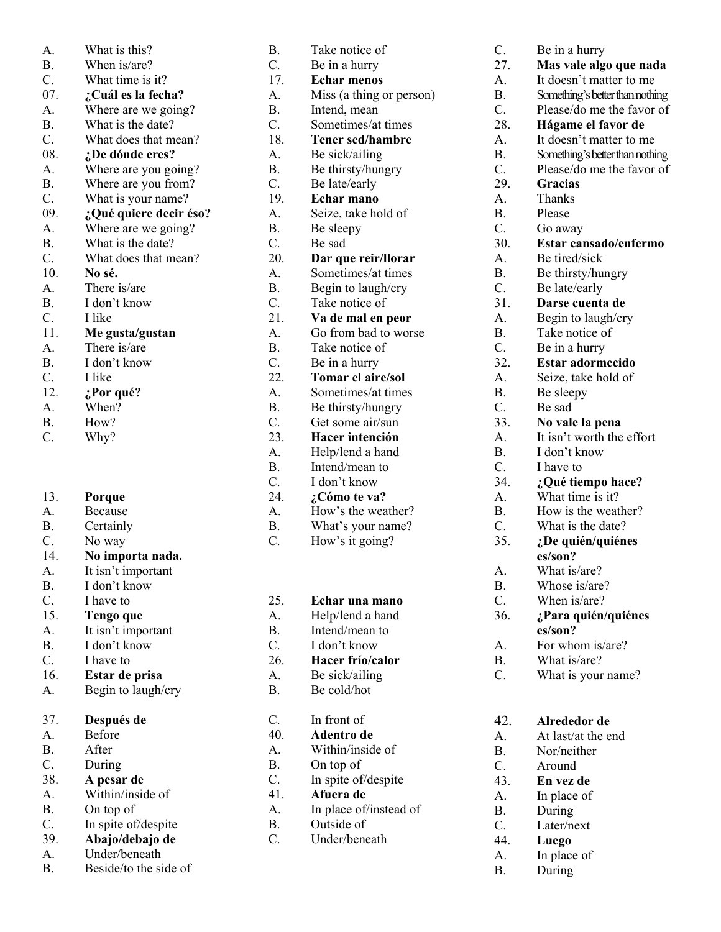| A.               | What is this?          |
|------------------|------------------------|
| <b>B.</b>        | When is/are?           |
| C.               | What time is it?       |
| 07.              | ¿Cuál es la fecha?     |
| A.               | Where are we going?    |
| Β.               | What is the date?      |
| C.               | What does that mean?   |
| 08.              | ¿De dónde eres?        |
| A.               | Where are you going?   |
| <b>B.</b>        | Where are you from?    |
| C.               | What is your name?     |
| 09.              | ¿Qué quiere decir éso? |
| A.               | Where are we going?    |
| <b>B.</b>        | What is the date?      |
| C.               | What does that mean?   |
| 10.              | No sé.                 |
| $\overline{A}$ . | There is/are           |
| <b>B.</b>        | I don't know           |
| C.               | I like                 |
| 11.              | Me gusta/gustan        |
| A.               | There is/are           |
| Β.               | I don't know           |
| C.               | I like                 |
| 12.              | ¿Por qué?              |
| A.               | When?                  |
| Β.               | How?                   |
| C.               | Why?                   |
| 13.              | Porque                 |
| A.               | Because                |
| Β.               | Certainly              |
| C.               | No way                 |
| 14.              | No importa nada.       |
| A.               | It isn't important     |
| В.               | I don't know           |
| C.               | I have to              |
| 15.              | <b>Tengo que</b>       |
| A.               | It isn't important     |
| <b>B.</b>        | I don't know           |
| C.               | I have to              |
| 16.              | Estar de prisa         |
| A.               | Begin to laugh/cry     |
| 37.              | Después de             |
| A.               | Before                 |
| <b>B.</b>        | After                  |
| C.               | During                 |
| 38.              | A pesar de             |
| A.               | Within/inside of       |
| Β.               | On top of              |
| C.               | In spite of/despite    |
| 39.              | Abajo/debajo de        |
| A.               | Under/beneath          |
| В.               | Beside/to the side of  |

| <b>B.</b>        | Take notice of           |
|------------------|--------------------------|
| C.               | Be in a hurry            |
| 17.              | <b>Echar menos</b>       |
| A.               | Miss (a thing or person) |
| Β.               | Intend, mean             |
| C.               | Sometimes/at times       |
| 18.              | <b>Tener sed/hambre</b>  |
| A.               | Be sick/ailing           |
| Β.               | Be thirsty/hungry        |
| C.               | Be late/early            |
| 19.              | Echar mano               |
| A.               | Seize, take hold of      |
| Β.               | Be sleepy                |
| C.               | Be sad                   |
| 20.              |                          |
|                  | Dar que reir/llorar      |
| A.               | Sometimes/at times       |
| <b>B.</b>        | Begin to laugh/cry       |
| C.               | Take notice of           |
| 21.              | Va de mal en peor        |
| A.               | Go from bad to worse     |
| <b>B.</b>        | Take notice of           |
| C.               | Be in a hurry            |
| 22.              | <b>Tomar el aire/sol</b> |
| A.               | Sometimes/at times       |
| Β.               | Be thirsty/hungry        |
| C.               | Get some air/sun         |
| 23.              | Hacer intención          |
| A.               | Help/lend a hand         |
| Β.               | Intend/mean to           |
| C.               | I don't know             |
| 24.              | ¿Cómo te va?             |
| A.               | How's the weather?       |
| <b>B.</b>        | What's your name?        |
| C.               | How's it going?          |
|                  |                          |
|                  |                          |
|                  |                          |
| 25.              | Echar una mano           |
| A.               |                          |
|                  | Help/lend a hand         |
| <b>B.</b>        | Intend/mean to           |
| C.               | I don't know             |
| 26.              | Hacer frío/calor         |
| A.               | Be sick/ailing           |
| <b>B.</b>        | Be cold/hot              |
|                  |                          |
| C.               | In front of              |
| 40.              | Adentro de               |
| $\overline{A}$ . | Within/inside of         |
| <b>B.</b>        | On top of                |
| C.               | In spite of/despite      |
| 41.              | Afuera de                |
| A.               | In place of/instead of   |
| <b>B.</b>        | Outside of               |
| C.               | Under/beneath            |
|                  |                          |
|                  |                          |
|                  |                          |

| C.        | Be in a hurry                   |
|-----------|---------------------------------|
| 27.       | Mas vale algo que nada          |
| A.        | It doesn't matter to me         |
| Β.        | Something's better than nothing |
| C.        | Please/do me the favor of       |
| 28.       | Hágame el favor de              |
| A.        | It doesn't matter to me         |
|           |                                 |
| <b>B.</b> | Something's better than nothing |
| C.        | Please/do me the favor of       |
| 29.       | <b>Gracias</b>                  |
| A.        | Thanks                          |
| <b>B.</b> | Please                          |
| C.        | Go away                         |
| 30.       | Estar cansado/enfermo           |
| A.        | Be tired/sick                   |
|           |                                 |
| <b>B.</b> | Be thirsty/hungry               |
| C.        | Be late/early                   |
| 31.       | Darse cuenta de                 |
| A.        | Begin to laugh/cry              |
| Β.        | Take notice of                  |
| C.        | Be in a hurry                   |
| 32.       | Estar adormecido                |
| A.        |                                 |
|           | Seize, take hold of             |
| <b>B.</b> | Be sleepy                       |
| C.        | Be sad                          |
| 33.       | No vale la pena                 |
| A.        | It isn't worth the effort       |
| Β.        | I don't know                    |
| C.        | I have to                       |
| 34.       | ¿Qué tiempo hace?               |
| A.        | What time is it?                |
| Β.        | How is the weather?             |
| C.        | What is the date?               |
|           |                                 |
| 35.       | ¿De quién/quiénes               |
|           | es/son?                         |
| A.        | What is/are?                    |
| Β.        | Whose is/are?                   |
| C.        | When is/are?                    |
| 36.       | ¿Para quién/quiénes             |
|           | es/son?                         |
| A.        | For whom is/are?                |
|           | What is/are?                    |
| Β.        |                                 |
| C.        | What is your name?              |
| 42.       | Alrededor de                    |
| A.        | At last/at the end              |
| <b>B.</b> |                                 |
|           | Nor/neither                     |
| C.        | Around                          |
| 43.       | En vez de                       |

A. In place of B. During C. Later/next 44. **Luego** A. In place of B. During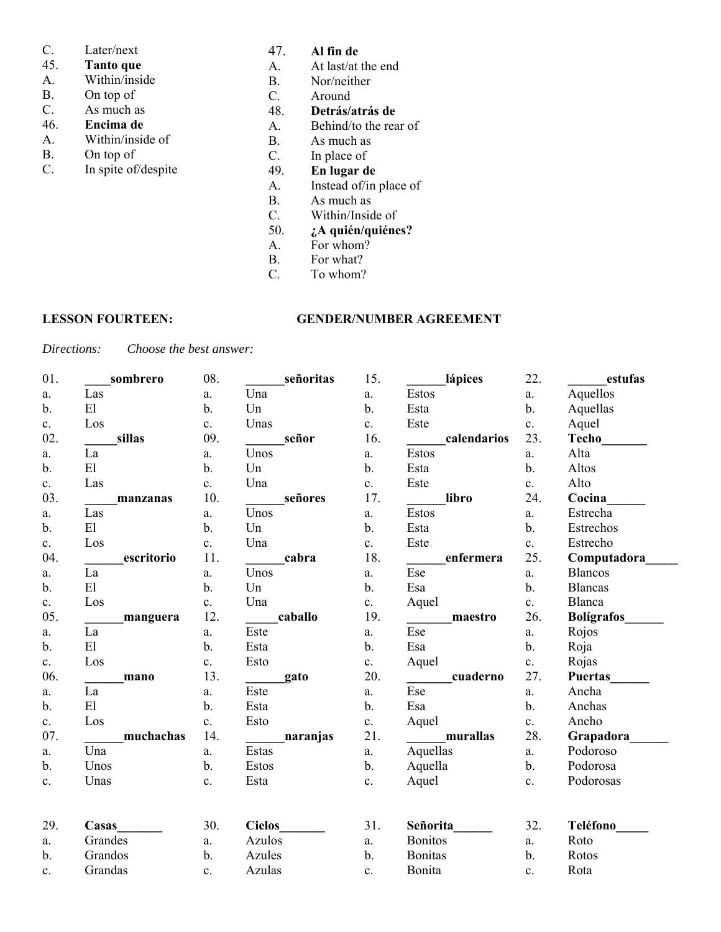## C. Later/next

- 45. **Tanto que**
- Within/inside
- B. On top of
- C. As much as
- 46. **Encima de**
- A. Within/inside of
- B. On top of<br>C. In spite of/
- In spite of/despite
- 47. **Al fin de**
- A. At last/at the end
- B. Nor/neither
- C. Around<br>48. **Detrás/a**
- 48. **Detrás/atrás de**
- A. Behind/to the rear of
- B. As much as<br>C. In place of
- In place of
- 49. **En lugar de**
- A. Instead of/in place of
- B. As much as
- C. Within/Inside of 50.  $\lambda$  and  $\lambda$  and  $\lambda$  and  $\lambda$
- 50. **¿A quién/quiénes?**
- A. For whom?<br>B. For what?
- For what?
- C. To whom?

### **LESSON FOURTEEN: GENDER/NUMBER AGREEMENT**

*Directions: Choose the best answer:*

| 01.            | sombrero                   | 08.            | señoritas     | 15.            | lápices                                            | 22.            | estufas           |
|----------------|----------------------------|----------------|---------------|----------------|----------------------------------------------------|----------------|-------------------|
| a.             | Las                        | $a$ .          | Una           | a.             | Estos                                              | a.             | Aquellos          |
| $\mathbf b$ .  | E1                         | $\mathbf b$ .  | Un            | $\mathbf b$ .  | Esta                                               | $\mathbf b$ .  | Aquellas          |
| $\mathbf{c}$ . | Los                        | $\mathbf{c}$ . | Unas          | c.             | Este                                               | $\mathbf{c}$ . | Aquel             |
| 02.            | sillas                     | 09.            | señor         | 16.            | calendarios                                        | 23.            | <b>Techo</b>      |
| a.             | La                         | a.             | Unos          | a.             | <b>Estos</b>                                       | a.             | Alta              |
| $b$ .          | E1                         | $b$ .          | Un            | $\mathbf b$ .  | Esta                                               | $\mathbf{b}$ . | Altos             |
| c.             | Las                        | $\mathbf{c}$ . | Una           | c.             | Este                                               | c.             | Alto              |
| 03.            | manzanas                   | 10.            | señores       | 17.            | libro                                              | 24.            | Cocina            |
| a.             | Las                        | a.             | Unos          | a.             | Estos                                              | a.             | Estrecha          |
| $b$ .          | E1                         | $b$ .          | Un            | $b$ .          | Esta                                               | $\mathbf{b}$ . | Estrechos         |
| c.             | Los                        | c.             | Una           | c.             | Este                                               | c.             | Estrecho          |
| 04.            | escritorio                 | 11.            | cabra         | 18.            | enfermera                                          | 25.            | Computadora       |
| a.             | La                         | a.             | Unos          | a.             | Ese                                                | a.             | <b>Blancos</b>    |
| $b$ .          | E1                         | $b$ .          | Un            | $b$ .          | Esa                                                | $\mathbf{b}$ . | <b>Blancas</b>    |
| c.             | Los                        | $\mathbf{c}$ . | Una           | c.             | Aquel                                              | c.             | Blanca            |
| 05.            | manguera                   | 12.            | caballo       | 19.            | maestro<br>$\mathcal{L}^{\text{max}}_{\text{max}}$ | 26.            | <b>Bolígrafos</b> |
| a.             | La                         | a.             | Este          | a.             | Ese                                                | a.             | Rojos             |
| $b$ .          | E1                         | $\mathbf b$ .  | Esta          | b.             | Esa                                                | $\mathbf b$ .  | Roja              |
| c.             | Los                        | $\mathbf{c}$ . | Esto          | c.             | Aquel                                              | $\mathbf{c}$ . | Rojas             |
| 06.            | mano                       | 13.            | gato          | 20.            | cuaderno<br>$\mathcal{L}^{\text{max}}$             | 27.            | <b>Puertas</b>    |
| a.             | La                         | a.             | Este          | a.             | Ese                                                | a.             | Ancha             |
| $\mathbf{b}$ . | $\mathop{\rm El}\nolimits$ | $\mathbf b$ .  | Esta          | $\mathbf{b}$ . | Esa                                                | $\mathbf{b}$ . | Anchas            |
| c.             | Los                        | c.             | Esto          | c.             | Aquel                                              | c.             | Ancho             |
| 07.            | muchachas                  | 14.            | naranjas      | 21.            | murallas                                           | 28.            | Grapadora         |
| a.             | Una                        | a.             | Estas         | a.             | Aquellas                                           | a.             | Podoroso          |
| $\mathbf b$ .  | Unos                       | $\mathbf b$ .  | Estos         | $\mathbf b$ .  | Aquella                                            | $\mathbf b$ .  | Podorosa          |
| c.             | Unas                       | $\mathbf{c}$ . | Esta          | c.             | Aquel                                              | c.             | Podorosas         |
|                |                            |                |               |                |                                                    |                |                   |
| 29.            | Casas                      | 30.            | <b>Cielos</b> | 31.            | Señorita                                           | 32.            | Teléfono          |
| a.             | Grandes                    | a.             | Azulos        | a.             | <b>Bonitos</b>                                     | a.             | Roto              |
| $b$ .          | Grandos                    | $\mathbf b$ .  | Azules        | $\mathbf b$ .  | <b>Bonitas</b>                                     | b.             | Rotos             |
| c.             | Grandas                    | c.             | Azulas        | $\mathbf{c}$ . | Bonita                                             | $\mathbf{c}$ . | Rota              |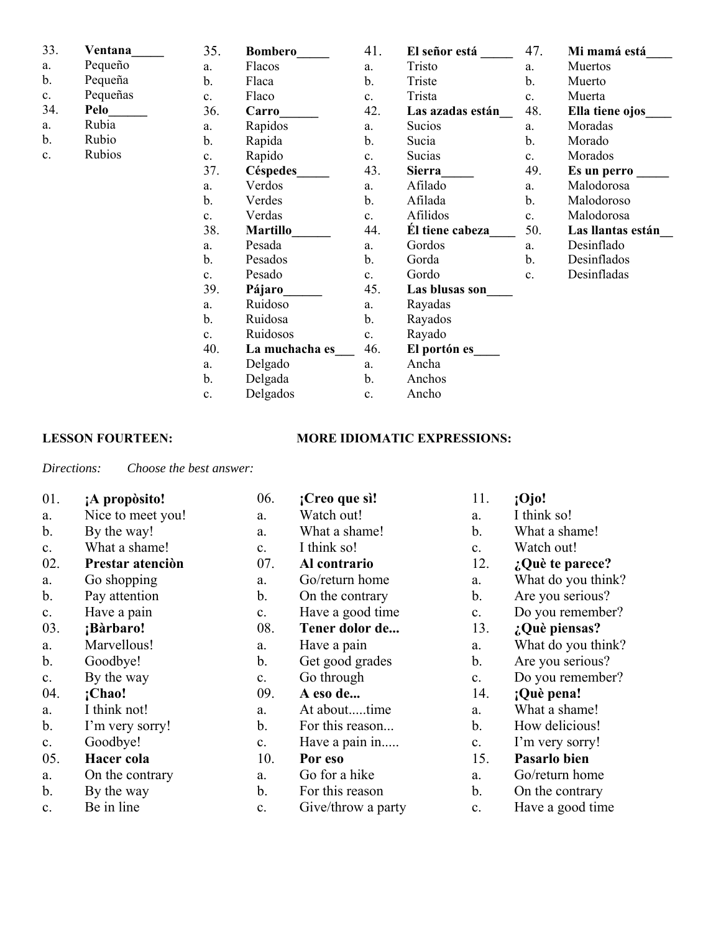| 33.            | Ventana  | 35.            | <b>Bombero</b>  | 41.            | El señor está    | 47.            | Mi mamá está      |
|----------------|----------|----------------|-----------------|----------------|------------------|----------------|-------------------|
| a.             | Pequeño  | a.             | Flacos          | a.             | Tristo           | a.             | Muertos           |
| b.             | Pequeña  | b.             | Flaca           | b.             | Triste           | b.             | Muerto            |
| c.             | Pequeñas | c.             | Flaco           | $\mathbf{c}$ . | Trista           | $\mathbf{c}$ . | Muerta            |
| 34.            | Pelo     | 36.            | Carro           | 42.            | Las azadas están | 48.            | Ella tiene ojos   |
| a.             | Rubia    | a.             | Rapidos         | a.             | Sucios           | a.             | Moradas           |
| b.             | Rubio    | b.             | Rapida          | b.             | Sucia            | b.             | Morado            |
| $\mathbf{c}$ . | Rubios   | c.             | Rapido          | $\mathbf{c}$ . | Sucias           | c.             | Morados           |
|                |          | 37.            | Céspedes        | 43.            | <b>Sierra</b>    | 49.            | Es un perro       |
|                |          | a.             | Verdos          | a.             | Afilado          | a.             | Malodorosa        |
|                |          | $b$ .          | Verdes          | b.             | Afilada          | $\mathbf b$ .  | Malodoroso        |
|                |          | c.             | Verdas          | $\mathbf{c}$ . | Afilidos         | $\mathbf{c}$ . | Malodorosa        |
|                |          | 38.            | <b>Martillo</b> | 44.            | El tiene cabeza  | 50.            | Las llantas están |
|                |          | a.             | Pesada          | a.             | Gordos           | a.             | Desinflado        |
|                |          | $\mathbf b$ .  | Pesados         | b.             | Gorda            | b.             | Desinflados       |
|                |          | $\mathbf{c}$ . | Pesado          | $\mathbf{c}$ . | Gordo            | $\mathbf{c}$ . | Desinfladas       |
|                |          | 39.            | Pájaro          | 45.            | Las blusas son   |                |                   |

a. Ruidoso b. Ruidosa c. Ruidosos

a. Delgado b. Delgada c. Delgados

40. **La muchacha es\_\_\_**

### **LESSON FOURTEEN: MORE IDIOMATIC EXPRESSIONS:**

a. Ancha b. Anchos c. Ancho

a. Rayadas b. Rayados c. Rayado

46. **El portón es\_\_\_\_**

*Directions: Choose the best answer:*

| 01.           | ¡A propòsito!     | 06.            | ¡Creo que sì!      | 11.            | :O <sub>j</sub> O  |
|---------------|-------------------|----------------|--------------------|----------------|--------------------|
| a.            | Nice to meet you! | a.             | Watch out!         | a.             | I think so!        |
| $\mathbf b$ . | By the way!       | a.             | What a shame!      | b.             | What a shame!      |
| c.            | What a shame!     | $\mathbf{c}$ . | I think so!        | $\mathbf{c}$ . | Watch out!         |
| 02.           | Prestar atención  | 07.            | Al contrario       | 12.            | $:$ Què te parece? |
| a.            | Go shopping       | a.             | Go/return home     | a.             | What do you think? |
| $b$ .         | Pay attention     | b.             | On the contrary    | $\mathbf b$ .  | Are you serious?   |
| c.            | Have a pain       | $\mathbf{c}$ . | Have a good time   | c.             | Do you remember?   |
| 03.           | ¡Bàrbaro!         | 08.            | Tener dolor de     | 13.            | ¿Què piensas?      |
| a.            | Marvellous!       | a.             | Have a pain        | a.             | What do you think? |
| b.            | Goodbye!          | b.             | Get good grades    | b.             | Are you serious?   |
| c.            | By the way        | c.             | Go through         | $\mathbf{c}$ . | Do you remember?   |
| 04.           | ;Chao!            | 09.            | A eso de           | 14.            | ¡Què pena!         |
| a.            | I think not!      | a.             | At abouttime       | a.             | What a shame!      |
| b.            | I'm very sorry!   | $\mathbf{b}$ . | For this reason    | b.             | How delicious!     |
| c.            | Goodbye!          | c.             | Have a pain in     | c.             | I'm very sorry!    |
| 05.           | Hacer cola        | 10.            | Por eso            | 15.            | Pasarlo bien       |
| a.            | On the contrary   | a.             | Go for a hike      | a.             | Go/return home     |
| b.            | By the way        | b.             | For this reason    | b.             | On the contrary    |
| c.            | Be in line        | c.             | Give/throw a party | c.             | Have a good time   |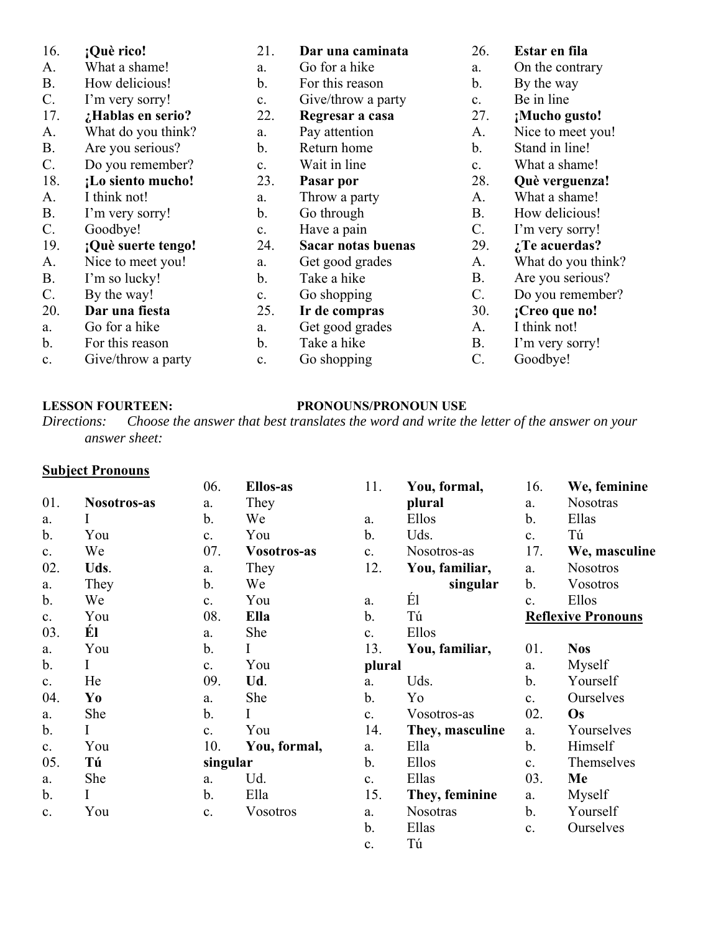| 16.            | ¡Què rico!         | 21.            | Dar una caminata   | 26.             | Estar en fila       |
|----------------|--------------------|----------------|--------------------|-----------------|---------------------|
| A.             | What a shame!      | a.             | Go for a hike      | a.              | On the contrary     |
| <b>B.</b>      | How delicious!     | b.             | For this reason    | b.              | By the way          |
| $\mathbf{C}$ . | I'm very sorry!    | $\mathbf{c}$ . | Give/throw a party | $\mathbf{c}$ .  | Be in line          |
| 17.            | ¿Hablas en serio?  | 22.            | Regresar a casa    | 27.             | ¡Mucho gusto!       |
| A.             | What do you think? | a.             | Pay attention      | A.              | Nice to meet you!   |
| <b>B.</b>      | Are you serious?   | b.             | Return home        | b.              | Stand in line!      |
| $\mathbf{C}$ . | Do you remember?   | c.             | Wait in line       | $\mathbf{c}$ .  | What a shame!       |
| 18.            | ¡Lo siento mucho!  | 23.            | Pasar por          | 28.             | Què verguenza!      |
| A.             | I think not!       | a.             | Throw a party      | A.              | What a shame!       |
| <b>B.</b>      | I'm very sorry!    | b.             | Go through         | <b>B.</b>       | How delicious!      |
| $\mathbf{C}$ . | Goodbye!           | $C_{\bullet}$  | Have a pain        | $\mathbf{C}$ .  | I'm very sorry!     |
| 19.            | ¡Què suerte tengo! | 24.            | Sacar notas buenas | 29.             | $\chi$ Te acuerdas? |
| A.             | Nice to meet you!  | a.             | Get good grades    | A.              | What do you think?  |
| <b>B.</b>      | I'm so lucky!      | b.             | Take a hike        | <b>B.</b>       | Are you serious?    |
| $\mathbf{C}$ . | By the way!        | c.             | Go shopping        | $\mathcal{C}$ . | Do you remember?    |
| 20.            | Dar una fiesta     | 25.            | Ir de compras      | 30.             | ¡Creo que no!       |
| a.             | Go for a hike      | a.             | Get good grades    | A.              | I think not!        |
| $b$ .          | For this reason    | b.             | Take a hike        | <b>B.</b>       | I'm very sorry!     |
| $\mathbf{c}$ . | Give/throw a party | c.             | Go shopping        | C.              | Goodbye!            |

## **LESSON FOURTEEN: PRONOUNS/PRONOUN USE**

*Directions: Choose the answer that best translates the word and write the letter of the answer on your answer sheet:*

## **Subject Pronouns**

| ---           |             | 06.           | Ellos-as     | 11.            | You, formal,    | 16.            | We, feminine              |
|---------------|-------------|---------------|--------------|----------------|-----------------|----------------|---------------------------|
| 01.           | Nosotros-as | a.            | They         |                | plural          | a.             | <b>Nosotras</b>           |
| a.            | Ι           | b.            | We           | a.             | Ellos           | $\mathbf b$ .  | Ellas                     |
| b.            | You         | c.            | You          | $\mathbf b$ .  | Uds.            | $\mathbf{c}$ . | Tú                        |
| c.            | We          | 07.           | Vosotros-as  | c.             | Nosotros-as     | 17.            | We, masculine             |
| 02.           | Uds.        | a.            | They         | 12.            | You, familiar,  | a.             | <b>Nosotros</b>           |
| a.            | They        | b.            | We           |                | singular        | $\mathbf b$ .  | <b>Vosotros</b>           |
| b.            | We          | c.            | You          | a.             | É1              | c.             | Ellos                     |
| $\mathbf{c}.$ | You         | 08.           | Ella         | $\mathbf b$ .  | Tú              |                | <b>Reflexive Pronouns</b> |
| 03.           | Él          | a.            | She          | $\mathbf{c}$ . | Ellos           |                |                           |
| a.            | You         | b.            | I            | 13.            | You, familiar,  | 01.            | <b>Nos</b>                |
| $b$ .         | Ι           | c.            | You          | plural         |                 | a.             | Myself                    |
| c.            | He          | 09.           | Ud.          | a.             | Uds.            | $\mathbf b$ .  | Yourself                  |
| 04.           | Yo          | a.            | She          | b.             | Yo              | c.             | Ourselves                 |
| a.            | She         | $\mathbf b$ . | Ι            | $\mathbf{c}$ . | Vosotros-as     | 02.            | <b>Os</b>                 |
| b.            | I           | c.            | You          | 14.            | They, masculine | a.             | Yourselves                |
| c.            | You         | 10.           | You, formal, | a.             | Ella            | $\mathbf{b}$ . | Himself                   |
| 05.           | Tú          | singular      |              | $\mathbf b$ .  | Ellos           | $\mathbf{c}$ . | Themselves                |
| a.            | She         | a.            | Ud.          | $\mathbf{c}$ . | Ellas           | 03.            | Me                        |
| b.            | I           | b.            | Ella         | 15.            | They, feminine  | a.             | Myself                    |
| c.            | You         | c.            | Vosotros     | a.             | Nosotras        | $\mathbf b$ .  | Yourself                  |
|               |             |               |              | $b$ .          | Ellas           | c.             | Ourselves                 |
|               |             |               |              | c.             | Tú              |                |                           |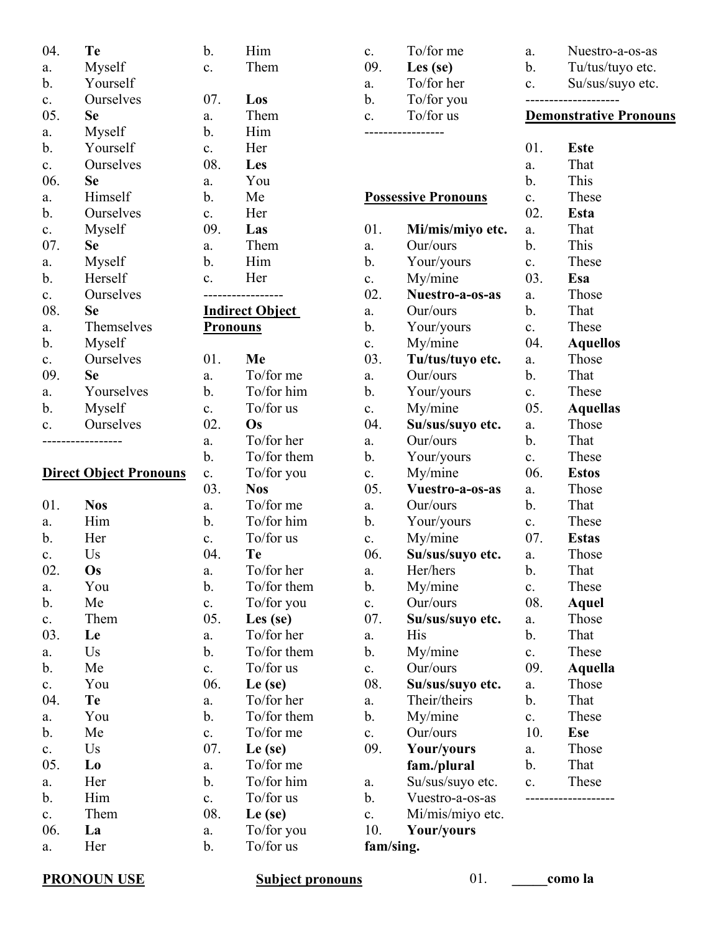| 04.            | Te                            | b.              | Him                    |
|----------------|-------------------------------|-----------------|------------------------|
| a.             | Myself                        | c.              | Them                   |
| $\mathbf b$ .  | Yourself                      |                 |                        |
| $\mathbf{c}$ . | Ourselves                     | 07.             | Los                    |
| 05.            | Se                            | a.              | Them                   |
| a.             | Myself                        | b.              | Him                    |
| b.             | Yourself                      | $\mathbf{c}$ .  | Her                    |
| $\mathbf{c}$ . | Ourselves                     | 08.             | Les                    |
| 06.            | <b>Se</b>                     | a.              | You                    |
| a.             | Himself                       | b.              | Me                     |
| b.             | Ourselves                     | c.              | Her                    |
| $\mathbf{c}$ . | Myself                        | 09.             | Las                    |
| 07.            | <b>Se</b>                     | a.              | Them                   |
| a.             | Myself                        | b.              | Him                    |
| b.             | Herself                       | $\mathbf{c}$ .  | Her                    |
| c.             | Ourselves                     |                 |                        |
| 08.            | Se                            |                 | <b>Indirect Object</b> |
| a.             | Themselves                    | <b>Pronouns</b> |                        |
| b.             | Myself                        |                 |                        |
| $\mathbf{c}$ . | Ourselves                     | 01.             | Me                     |
| 09.            | <b>Se</b>                     | a.              | To/for me              |
| a.             | Yourselves                    | b.              | To/for hir             |
| b.             | Myself                        | $\mathbf{c}$ .  | To/for us              |
| c.             | Ourselves                     | 02.             | Os                     |
|                |                               | a.              | To/for her             |
|                |                               | b.              | To/for the             |
|                | <b>Direct Object Pronouns</b> | $\mathbf{c}$ .  | $To$ for yo            |
|                |                               | 03.             | <b>Nos</b>             |
| 01.            | <b>Nos</b>                    | a.              | To/for me              |
| a.             | Him                           | b.              | To/for hir             |
| $\mathbf b$ .  | Her                           | c.              | To/for us              |
| $\mathbf{c}$ . | Us                            | 04.             | Te                     |
|                |                               |                 |                        |
| 02.            | Os                            | a.              | To/for her             |
| a.             | You                           | b.              | To/for the             |
| b.             | Me                            | $\mathbf{c}$ .  | $To$ for yo            |
| c.             | Them                          | 05.             | Les (se)               |
| 03.            | Le                            | a.              | To/for her             |
| a.             | Us                            | b.              | To/for the             |
| b.             | Me                            | $\mathbf{c}$ .  | To/for us              |
| $\mathbf{c}$ . | You                           | 06.             | Le (se)                |
| 04.            | Te                            | a.              | To/for her             |
| a.             | You                           | b.              | To/for the             |
| b.             | Me                            | $\mathbf{c}$ .  | To/for me              |
| c.             | Us                            | 07.             | $Le$ (se)              |
| 05.            | Lo                            | a.              | To/for me              |
| a.             | Her                           | b.              | To/for hir             |
| b.             | Him                           | c.              | To/for us              |
| c.             | Them                          | 08.             | Le (se)                |
| 06.            | La                            | a.              | $To/for$ yo            |
| a.             | Her                           | b.              | To/for us              |
|                |                               |                 |                        |

03. **Nos** To/for me To/for him To/for us

To/for her To/for them To/for you Les (se) To/for her To/for them To/for us 06. **Le (se)** To/for her To/for them To/for me 07. **Le (se)** To/for me To/for him To/for us 08. **Le (se)** To/for you To/for us

To/for me To/for him To/for us

To/for her To/for them To/for you

| c.             | To/for me                  | a.             | Nuestro-a-os-as               |
|----------------|----------------------------|----------------|-------------------------------|
| 09.            | Les (se)                   | b.             | Tu/tus/tuyo etc.              |
| a.             | To/for her                 | c.             | Su/sus/suyo etc.              |
| b.             | To/for you                 |                |                               |
| c.             | To/for us                  |                | <b>Demonstrative Pronouns</b> |
|                |                            |                |                               |
|                |                            | 01.            | <b>Este</b>                   |
|                |                            | a.             | That                          |
|                |                            | b.             | This                          |
|                | <b>Possessive Pronouns</b> | c.             | These                         |
|                |                            | 02.            | Esta                          |
| 01.            | Mi/mis/miyo etc.           | a.             | That                          |
| a.             | Our/ours                   | b.             | This                          |
| b.             | Your/yours                 | c.             | These                         |
| $\mathbf{c}$ . | My/mine                    | 03.            | Esa                           |
| 02.            | Nuestro-a-os-as            | a.             | Those                         |
| a.             | Our/ours                   | b.             | That                          |
| b.             | Your/yours                 | $\mathbf{c}$ . | These                         |
| c.             | My/mine                    | 04.            | <b>Aquellos</b>               |
| 03.            | Tu/tus/tuyo etc.           | a.             | Those                         |
| a.             | Our/ours                   | b.             | That                          |
| b.             | Your/yours                 | $\mathbf{c}$ . | These                         |
| $\mathbf{c}$ . | My/mine                    | 05.            | <b>Aquellas</b>               |
| 04.            | Su/sus/suyo etc.           | a.             | Those                         |
| a.             | Our/ours                   | b.             | That                          |
| b.             | Your/yours                 | $\mathbf{c}$ . | These                         |
| c.             | My/mine                    | 06.            | <b>Estos</b>                  |
| 05.            | Vuestro-a-os-as            | a.             | Those                         |
| a.             | Our/ours                   | b.             | That                          |
| b.             | Your/yours                 | $\mathbf{c}$ . | These                         |
| c.             | My/mine                    | 07.            | <b>Estas</b>                  |
| 06.            | Su/sus/suyo etc.           | a.             | Those                         |
| a.             | Her/hers                   | b.             | That                          |
| b.             | My/mine                    | c.             | These                         |
| $\mathbf{c}$ . | Our/ours                   | 08.            | Aquel                         |
| 07.            | Su/sus/suyo etc.           | a.             | Those                         |
| a.             | His                        | b.             | That                          |
| b.             | My/mine                    | c.             | These                         |
| c.             | Our/ours                   | 09.            | Aquella                       |
| 08.            | Su/sus/suyo etc.           | a.             | Those                         |
| a.             | Their/theirs               | b.             | That                          |
| b.             | My/mine                    | c.             | These                         |
| c.             | Our/ours                   | 10.            | <b>Ese</b>                    |
| 09.            | Your/yours                 | a.             | Those                         |
|                | fam./plural                | b.             | That                          |
| a.             | Su/sus/suyo etc.           | c.             | These                         |
| b.             | Vuestro-a-os-as            |                |                               |
| $\mathbf{c}$ . | Mi/mis/miyo etc.           |                |                               |
| 10.            | Your/yours                 |                |                               |
| fam/sing.      |                            |                |                               |

## **PRONOUN USE** Subject pronouns 01. *como la*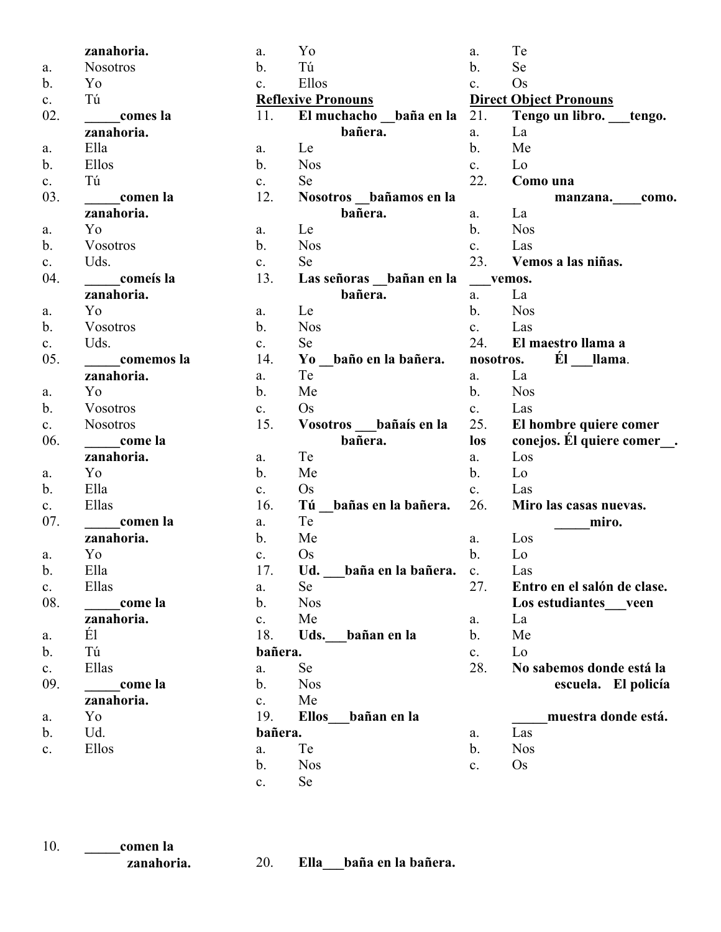|                | zanahoria.      | a.             | Yo                          | a.             | Te                            |
|----------------|-----------------|----------------|-----------------------------|----------------|-------------------------------|
| a.             | <b>Nosotros</b> | b.             | Tú                          | b.             | Se                            |
| b.             | Yo              | $\mathbf{c}$ . | Ellos                       | c.             | Os                            |
| c.             | Tú              |                | <b>Reflexive Pronouns</b>   |                | <b>Direct Object Pronouns</b> |
| 02.            | comes la        | 11.            | El muchacho baña en la      | 21.            | Tengo un libro. tengo.        |
|                | zanahoria.      |                | bañera.                     | a.             | La                            |
| a.             | Ella            | a.             | Le                          | b.             | Me                            |
| $\mathbf b$ .  | Ellos           | $\mathbf{b}$ . | <b>Nos</b>                  | $c_{\cdot}$    | Lo                            |
| c.             | Tú              | c.             | <b>Se</b>                   | 22.            | Como una                      |
| 03.            | comen la        | 12.            | Nosotros bañamos en la      |                | manzana. como.                |
|                | zanahoria.      |                | bañera.                     | a.             | La                            |
| a.             | Yo              | a.             | Le                          | b.             | <b>Nos</b>                    |
| b.             | Vosotros        | b.             | <b>Nos</b>                  | c.             | Las                           |
| c.             | Uds.            | c.             | Se                          | 23.            | Vemos a las niñas.            |
| 04.            | comeís la       | 13.            | Las señoras bañan en la     | vemos.         |                               |
|                | zanahoria.      |                | bañera.                     | a.             | La                            |
| a.             | Yo              | a.             | Le                          | $\mathbf{b}$ . | <b>Nos</b>                    |
| $\mathbf{b}$ . | Vosotros        | $\mathbf b$ .  | <b>Nos</b>                  | $c_{\cdot}$    | Las                           |
| c.             | Uds.            | c.             | Se                          | 24.            | El maestro llama a            |
| 05.            | comemos la      | 14.            | Yo baño en la bañera.       | nosotros.      | Él llama.                     |
|                | zanahoria.      | a.             | Te                          | a.             | La                            |
| a.             | Yo              | b.             | Me                          | $\mathbf{b}$ . | <b>Nos</b>                    |
| $\mathbf b$ .  | Vosotros        | c.             | Os                          | $c_{\cdot}$    | Las                           |
| c.             | <b>Nosotros</b> | 15.            | Vosotros bañaís en la       | 25.            | El hombre quiere comer        |
| 06.            | come la         |                | bañera.                     | los            | conejos. El quiere comer      |
|                | zanahoria.      | a.             | Te                          | a.             | Los                           |
| a.             | Yo              | b.             | Me                          | b.             | Lo                            |
| $\mathbf b$ .  | Ella            | c.             | <b>Os</b>                   | $c_{\cdot}$    | Las                           |
| c.             | Ellas           | 16.            | Tú<br>bañas en la bañera.   | 26.            | Miro las casas nuevas.        |
| 07.            | comen la        | a.             | Te                          |                | miro.                         |
|                | zanahoria.      | $\mathbf{b}$ . | Me                          | a.             | Los                           |
| a.             | Yo              | c.             | <b>Os</b>                   | b.             | Lo                            |
| $\mathbf{b}$ . | Ella            | 17.            | Ud.<br>_baña en la bañera.  | $c_{\cdot}$    | Las                           |
| c.             | Ellas           | a.             | Se                          | 27.            | Entro en el salón de clase.   |
| 08.            | come la         | b.             | <b>Nos</b>                  |                | Los estudiantes veen          |
|                | zanahoria.      | $\mathbf{c}$ . | Me                          | a.             | La                            |
| a.             | É1              | 18.            | Uds.<br>bañan en la         | b.             | Me                            |
| b.             | Tú              | bañera.        |                             | c.             | Lo                            |
|                | Ellas           | a.             | Se                          | 28.            | No sabemos donde está la      |
| c.<br>09.      | come la         | $\mathbf{b}$ . | <b>Nos</b>                  |                | escuela. El policía           |
|                | zanahoria.      | c.             | Me                          |                |                               |
| a.             | Yo              | 19.            | <b>Ellos</b><br>bañan en la |                | muestra donde está.           |
| b.             | Ud.             | bañera.        |                             | a.             | Las                           |
|                | Ellos           | a.             | Te                          | b.             | <b>Nos</b>                    |
| $\mathbf{c}.$  |                 | b.             | <b>Nos</b>                  | c.             | $\rm Os$                      |
|                |                 |                |                             |                |                               |
|                |                 | $\mathbf{c}$ . | Se                          |                |                               |

| 10. | comen la   |
|-----|------------|
|     | zanahoria. |

20. **Ella\_\_\_baña en la bañera.**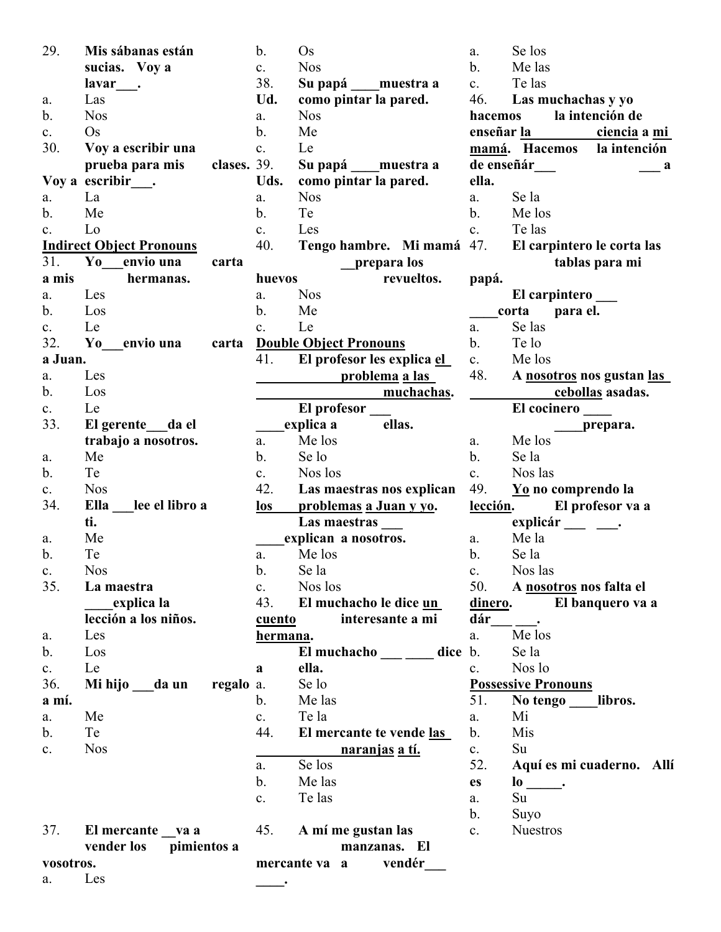| 29.            | Mis sábanas están               | b.               | Os                                   | a.                       |
|----------------|---------------------------------|------------------|--------------------------------------|--------------------------|
|                | sucias. Voy a                   | c.               | <b>Nos</b>                           | $b$ .                    |
|                | lavar                           | 38.              | Su papá muestra a                    | $\mathbf{c}$ .           |
| a.             | Las                             | Ud.              | como pintar la pared.                | 4 <sub>6</sub>           |
| b.             | <b>Nos</b>                      | a.               | <b>Nos</b>                           | h:                       |
| c.             | $\mathrm{Os}$                   | b.               | Me                                   | er                       |
| 30.            | Voy a escribir una              | c.               | Le                                   | $\underline{\mathbf{m}}$ |
|                | prueba para mis<br>clases. 39.  |                  | Su papá ____ muestra a               | d                        |
|                | Voy a escribir .                | Uds.             | como pintar la pared.                | el                       |
| a.             | La                              | a.               | <b>Nos</b>                           | a.                       |
| $\mathbf{b}$ . | Me                              | $\mathbf{b}$ .   | Te                                   | b.                       |
| $\mathbf{c}$ . | Lo                              | $\mathbf{c}$ .   | Les                                  | c.                       |
|                | <b>Indirect Object Pronouns</b> | 40.              | Tengo hambre. Mi mamá 47             |                          |
| 31.            | Yo<br>envio una<br>carta        |                  | prepara los                          |                          |
| a mis          | hermanas.                       | huevos           | revueltos.                           |                          |
| a.             | Les                             | a.               | <b>Nos</b>                           | pa                       |
| $\mathbf{b}$ . | Los                             | b.               | Me                                   |                          |
|                | Le                              |                  | Le                                   | a.                       |
| $\mathbf{c}$ . |                                 | $\mathbf{c}$ .   |                                      | $b$ .                    |
| 32.            | Yo<br>envio una<br>carta        |                  | <b>Double Object Pronouns</b>        |                          |
| a Juan.        |                                 | 41.              | El profesor les explica el           | c.                       |
| a.             | Les                             |                  | <b>problema</b> a las                | $4\delta$                |
| b.             | Los                             |                  | <u>muchachas</u> .                   |                          |
| $\mathbf{c}$ . | Le                              |                  | El profesor                          |                          |
| 33.            | El gerente da el                |                  | explica a<br>ellas.                  |                          |
|                | trabajo a nosotros.             | a.               | Me los                               | a.                       |
| a.             | Me                              | b.               | Se lo                                | b.                       |
| b.             | Te                              | $\mathbf{c}$ .   | Nos los                              | c.                       |
| $\mathbf{c}$ . | <b>Nos</b>                      | 42.              | Las maestras nos explican            | 4 <sup>0</sup>           |
| 34.            | Ella<br>lee el libro a          | $\log$           | problemas a Juan y yo.               | <u>le</u>                |
|                | ti.                             |                  | Las maestras                         |                          |
| a.             | Me                              |                  | explican a nosotros.                 | a.                       |
| b.             | Te                              | a.               | Me los                               | b.                       |
| C.             | <b>Nos</b>                      | $\mathbf{b}$ .   | Se la                                | c.                       |
| 35.            | La maestra                      | $c_{\cdot}$      | Nos los                              | 50                       |
|                | explica la                      |                  | 43. El muchacho le dice un           | di                       |
|                | lección a los niños.            | <u>cuento</u>    | interesante a mi                     | da                       |
| a.             | Les                             | <u>hermana</u> . |                                      | a.                       |
| b.             | Los                             |                  | El muchacho $\_\_\_\_\_\_\$ clice b. |                          |
| c.             | Le                              | a                | ella.                                | c.                       |
| 36.            | regalo a.<br>Mi hijo da un      |                  | Se lo                                | $\underline{P}$          |
| a mí.          |                                 | $\mathbf{b}$ .   | Me las                               | 5                        |
| a.             | Me                              | c.               | Te la                                | a.                       |
| $\mathbf{b}$ . | Te                              | 44.              | El mercante te vende las             | b.                       |
| c.             | <b>Nos</b>                      |                  | <u>naranjas a tí.</u>                | $\mathbf{c}$ .           |
|                |                                 | a.               | Se los                               | 52                       |
|                |                                 | b.               | Me las                               | es                       |
|                |                                 | c.               | Te las                               | a.                       |
|                |                                 |                  |                                      | b.                       |
| 37.            | El mercante va a                |                  | 45. A mí me gustan las               | $\mathbf{c}$ .           |
|                | pimientos a<br>vender los       |                  | manzanas. El                         |                          |
| vosotros.      |                                 |                  | vendér<br>mercante va a              |                          |
| a.             | Les                             |                  |                                      |                          |

Se los Me las Te las 46. **Las muchachas y yo hacemos la intención de enseñar la ciencia a mi mamá. Hacemos la intención de enseñár\_\_\_ \_\_\_ a ella.** Se la Me los Te las 47. **El carpintero le corta las tablas para mi papá. El carpintero \_\_\_ \_\_\_\_corta para el.** Se las b. Te lo Me los 48. **A nosotros nos gustan las cebollas asadas. El cocinero \_\_\_\_ \_\_\_\_prepara.** Me los b. Se la Nos las 49. **Yo no comprendo la lección. El profesor va a**  explicár <u>\_\_\_</u> \_\_\_. Me la b. Se la Nos las 50. **A nosotros nos falta el dinero. El banquero va a dár\_\_\_ \_\_\_.**   $\overline{\text{Me}}$  los b. Se la Nos lo **Possessive Pronouns** 1. No tengo libros. Mi Mis Su. 52. **Aquí es mi cuaderno. Allí**   $\frac{1}{\cdot}$ Su. Suyo **Nuestros**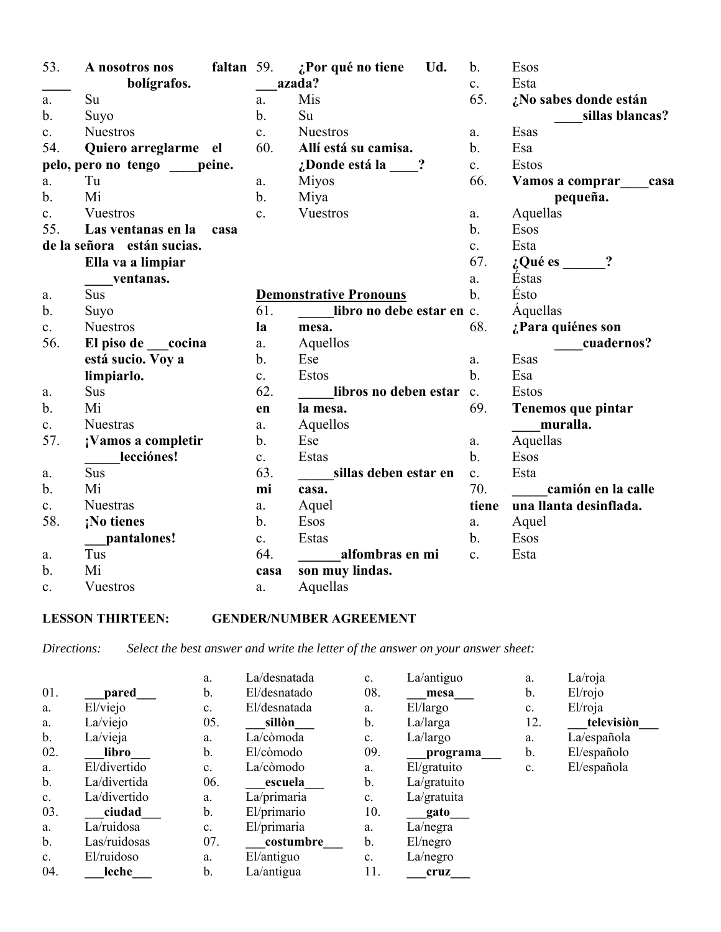| 53.            | A nosotros nos             | faltan 59. |                | ¿Por qué no tiene<br>Ud.      | $\mathbf{b}$ . | Esos                    |
|----------------|----------------------------|------------|----------------|-------------------------------|----------------|-------------------------|
|                | bolígrafos.                |            |                | azada?                        | $\mathbf{c}$ . | Esta                    |
| a.             | Su                         |            | a.             | Mis                           | 65.            | ¿No sabes donde están   |
| $\mathbf{b}$ . | Suyo                       |            | b.             | Su                            |                | sillas blancas?         |
| $\mathbf{c}$ . | <b>Nuestros</b>            |            | c.             | <b>Nuestros</b>               | a.             | Esas                    |
| 54.            | Quiero arreglarme el       |            | 60.            | Allí está su camisa.          | $\mathbf{b}$ . | Esa                     |
|                | pelo, pero no tengo        | peine.     |                | ¿Donde está la<br>$\ddot{?}$  | $\mathbf{c}$ . | Estos                   |
| a.             | Tu                         |            | a.             | <b>Miyos</b>                  | 66.            | Vamos a comprar<br>casa |
| $b$ .          | Mi                         |            | $\mathbf{b}$ . | Miya                          |                | pequeña.                |
| $\mathbf{c}$ . | Vuestros                   |            | $\mathbf{c}$ . | Vuestros                      | a.             | Aquellas                |
| 55.            | Las ventanas en la         | casa       |                |                               | $\mathbf{b}$ . | Esos                    |
|                | de la señora están sucias. |            |                |                               | $\mathbf{c}$ . | Esta                    |
|                | Ella va a limpiar          |            |                |                               | 67.            | ?<br>¿Qué es            |
|                | ventanas.                  |            |                |                               | a.             | <b>Éstas</b>            |
| a.             | <b>Sus</b>                 |            |                | <b>Demonstrative Pronouns</b> | $\mathbf{b}$ . | Ésto                    |
| $\mathbf{b}$ . | Suyo                       |            | 61.            | libro no debe estar en c.     |                | Aquellas                |
| $\mathbf{c}$ . | <b>Nuestros</b>            |            | la             | mesa.                         | 68.            | ¿Para quiénes son       |
| 56.            | El piso de<br>cocina       |            | a.             | Aquellos                      |                | cuadernos?              |
|                | está sucio. Voy a          |            | $\mathbf b$ .  | Ese                           | a.             | Esas                    |
|                | limpiarlo.                 |            | c.             | Estos                         | $\mathbf{b}$ . | Esa                     |
| a.             | Sus                        |            | 62.            | libros no deben estar         | $\mathbf{c}$ . | <b>Estos</b>            |
| $\mathbf{b}$ . | Mi                         |            | en             | la mesa.                      | 69.            | Tenemos que pintar      |
| $\mathbf{c}$ . | <b>Nuestras</b>            |            | a.             | Aquellos                      |                | muralla.                |
| 57.            | ¡Vamos a completir         |            | b.             | Ese                           | a.             | Aquellas                |
|                | lecciónes!                 |            | $\mathbf{c}$ . | Estas                         | $\mathbf{b}$ . | Esos                    |
| a.             | Sus                        |            | 63.            | sillas deben estar en         | c.             | Esta                    |
| $\mathbf{b}$ . | Mi                         |            | mi             | casa.                         | 70.            | camión en la calle      |
| $\mathbf{c}$ . | <b>Nuestras</b>            |            | a.             | Aquel                         | tiene          | una llanta desinflada.  |
| 58.            | ¡No tienes                 |            | $\mathbf b$ .  | Esos                          | a.             | Aquel                   |
|                | pantalones!                |            | $\mathbf{c}$ . | Estas                         | $\mathbf{b}$ . | Esos                    |
| a.             | Tus                        |            | 64.            | alfombras en mi               | c.             | Esta                    |
| $\mathbf b$ .  | Mi                         |            | casa           | son muy lindas.               |                |                         |
| $\mathbf{c}$ . | Vuestros                   |            | a.             | Aquellas                      |                |                         |

## **LESSON THIRTEEN: GENDER/NUMBER AGREEMENT**

*Directions: Select the best answer and write the letter of the answer on your answer sheet:*

|                |              | a.             | La/desnatada | $\mathbf{c}$ . | La/antiguo  | a.  | La/roja             |
|----------------|--------------|----------------|--------------|----------------|-------------|-----|---------------------|
| 01.            | pared        | b.             | El/desnatado | 08.            | mesa        | b.  | El <sub>'rojo</sub> |
| a.             | El/viejo     | c.             | El/desnatada | a.             | El/largo    | c.  | El/roja             |
| a.             | La/viejo     | 05.            | sillòn       | b.             | La/larga    | 12. | televisiòn          |
| b.             | La/vieja     | a.             | La/còmoda    | c.             | La/largo    | a.  | La/española         |
| 02.            | libro        | b.             | El/còmodo    | 09.            | programa    | b.  | El/españolo         |
| a.             | El/divertido | $\mathbf{c}$ . | La/còmodo    | a.             | El/gratuito | c.  | El/española         |
| $\mathbf b$ .  | La/divertida | 06.            | escuela      | b.             | La/gratuito |     |                     |
| $\mathbf{c}$ . | La/divertido | a.             | La/primaria  | c.             | La/gratuita |     |                     |
| 03.            | ciudad       | b.             | El/primario  | 10.            | gato        |     |                     |
| a.             | La/ruidosa   | c.             | El/primaria  | a.             | La/negra    |     |                     |
| $\mathbf b$ .  | Las/ruidosas | 07.            | costumbre    | b.             | El/negro    |     |                     |
| $\mathbf{c}$ . | El/ruidoso   | a.             | El/antiguo   | $\mathbf{c}$ . | La/negro    |     |                     |
| 04.            | leche        | b.             | La/antigua   | 11.            | cruz        |     |                     |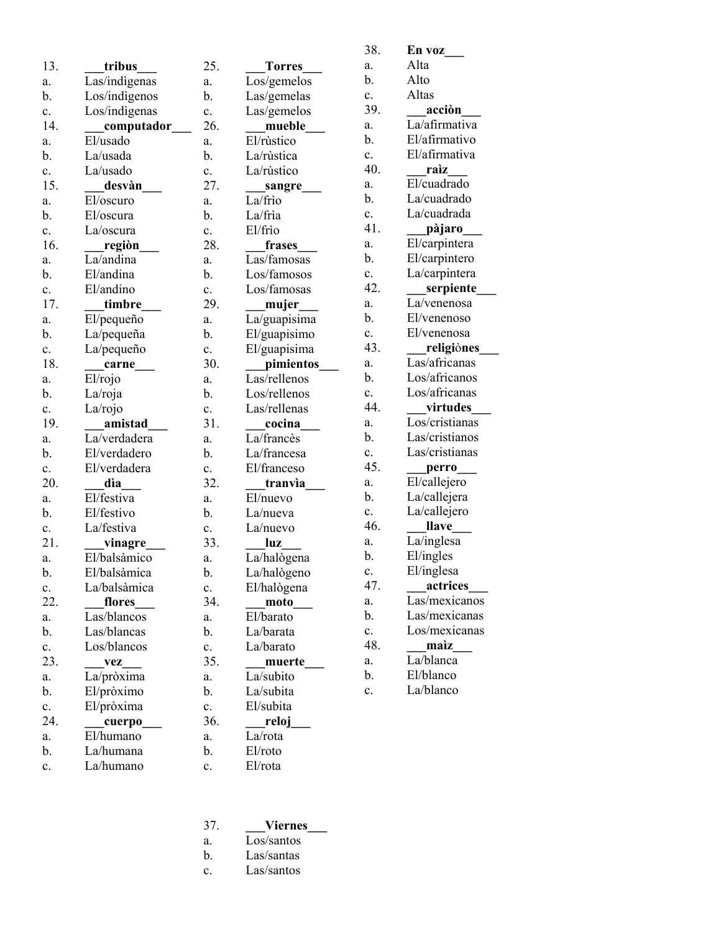| 13.            | tribus                   | 25.            |
|----------------|--------------------------|----------------|
| a.             | Las/indigenas            | a.             |
| b.             | Los/indigenos            | b.             |
| $\mathbf{c}$ . | Los/indìgenas            | c.             |
| 14.            | _computador_             | 26.            |
| a.             | El/usado                 | a.             |
| b.             | La/usada                 | b.             |
| c.             | La/usado                 | c.             |
| 15.            | desvàn                   | 27.            |
| a.             | El/oscuro                | a.             |
| b.             | El/oscura                | b.             |
| c.             | La/oscura                | c.             |
| 16.            | regiòn___                | 28.            |
| a.             | La/andina                | a.             |
| b.             | El/andina                | b.             |
| c.             | El/andino                | c.             |
| 17.            | timbre                   | 29.            |
| a.             | El/pequeño               | a.             |
| b.             | La/pequeña               | b.             |
| $\mathbf{c}$ . | La/pequeño               | c.             |
| 18.            | carne                    | 30.            |
| a.             | El/rojo                  | a.             |
| b.             | La/roja                  | b.             |
| $\mathbf{c}$ . | La/rojo                  | $\mathbf{c}$ . |
| 19.            | amistad                  | 31.            |
| a.             | La/verdadera             | a.             |
| b.             | El/verdadero             | b.             |
| c.             | El/verdadera             | c.             |
| 20.            | dìa                      | 32.            |
| a.             | El/festiva               | a.             |
| b.             | El/festivo<br>La/festiva | b.             |
| c.<br>21.      |                          | c.<br>33.      |
| a.             | vinagre<br>El/balsàmico  | a.             |
| b.             | El/balsàmica             | b.             |
| c.             | La/balsàmica             | c.             |
| 22.            | flores                   | 34.            |
| a.             | Las/blancos              | a.             |
| b.             | Las/blancas              | b.             |
| c.             | Los/blancos              | c.             |
| 23.            | vez                      | 35.            |
| a.             | La/pròxima               | a.             |
| b.             | El/pròximo               | b.             |
| c.             | El/pròxima               | c.             |
| 24.            | cuerpo                   | 36.            |
| a.             | El/humano                | a.             |
| b.             | La/humana                | b.             |
| c.             | La/humano                | c.             |
|                |                          |                |

| 25. | Torres_          |
|-----|------------------|
| a.  | Los/gemelos      |
| b.  | Las/gemelas      |
| c.  | Las/gemelos      |
| 26. | mueble           |
| a.  | El/rùstico       |
| b.  | La/rùstica       |
| c.  | La/rùstico       |
| 27. | _sangre          |
| a.  | La/frìo          |
| b.  | La/frìa          |
| c.  | El/frio          |
| 28. | frases           |
| a.  | Las/famosas      |
| b.  | Los/famosos      |
| c.  | Los/famosas      |
| 29. | _mujer___        |
| a.  | La/guapisima     |
| b.  | El/guapisimo     |
| c.  | El/guapisima     |
| 30. | <i>pimientos</i> |
| a.  | Las/rellenos     |
| b.  | Los/rellenos     |
| c.  | Las/rellenas     |
| 31. | cocina           |
| a.  | La/francès       |
| b.  | La/francesa      |
| c.  | El/franceso      |
| 32. | tranvìa          |
| a.  | El/nuevo         |
| b.  | La/nueva         |
| c.  | La/nuevo         |
| 33. | uz               |
| a.  | La/halògena      |
| b.  | La/halògeno      |
| c.  | El/halògena      |
| 34. | moto             |
| a.  | El/barato        |
| b.  | La/barata        |
| c.  | La/barato        |
| 35. | muerte_          |
| a.  | La/subito        |
| b.  | La/subita        |
| c.  | El/subita        |
| 36. | reloj___         |
| a.  | La/rota          |
| b.  | El/roto          |
| c.  | El/rota          |
|     |                  |

| 38. | En voz         |
|-----|----------------|
| a.  | Alta           |
| b.  | Alto           |
| c.  | Altas          |
| 39. | _acciòn        |
| a.  | La/afirmativa  |
| b.  | El/afirmativo  |
| c.  | El/afirmativa  |
| 40. | raìz           |
| a.  | El/cuadrado    |
| b.  | La/cuadrado    |
| c.  | La/cuadrada    |
| 41. | ____pàjaro____ |
| a.  | El/carpintera  |
| b.  | El/carpintero  |
| c.  | La/carpintera  |
| 42. | serpiente      |
| a.  | La/venenosa    |
| b.  | El/venenoso    |
| c.  | El/venenosa    |
| 43. | religiones     |
| a.  | Las/africanas  |
| b.  | Los/africanos  |
| c.  | Los/africanas  |
| 44. | virtudes       |
| a.  | Los/cristianas |
| b.  | Las/cristianos |
| c.  | Las/cristianas |
| 45. | perro          |
| a.  | El/callejero   |
| b.  | La/callejera   |
| c.  | La/callejero   |
| 46. | llave          |
| a.  | La/inglesa     |
| b.  | El/ingles      |
| c.  | El/inglesa     |
| 47. | actrices       |
| a.  | Las/mexicanos  |
| b.  | Las/mexicanas  |
| c.  | Los/mexicanas  |
| 48. | maìz           |
| a.  | La/blanca      |
| b.  | El/blanco      |
| c.  | La/blanco      |
|     |                |

- 37. **\_\_\_Viernes\_\_\_**
- $\overline{\text{Los/santos}}$
- b. Las/santas
- c. Las/santos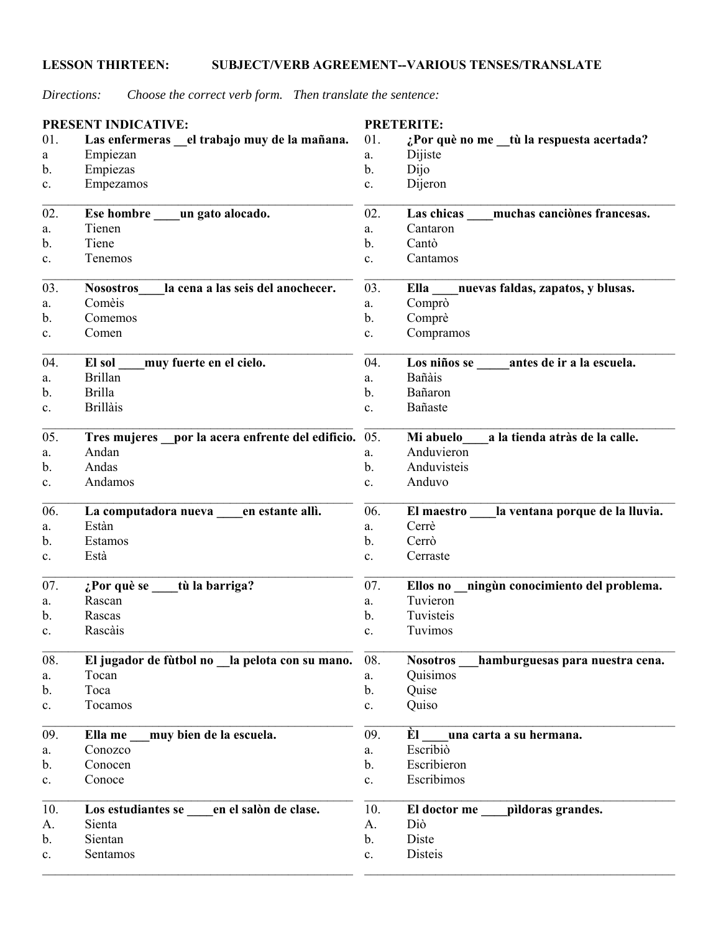## **LESSON THIRTEEN: SUBJECT/VERB AGREEMENT--VARIOUS TENSES/TRANSLATE**

*Directions: Choose the correct verb form. Then translate the sentence:*

|     | <b>PRESENT INDICATIVE:</b>                            |                | <b>PRETERITE:</b>                                  |
|-----|-------------------------------------------------------|----------------|----------------------------------------------------|
| 01. | Las enfermeras el trabajo muy de la mañana.           | 01.            | ¿Por què no me _tù la respuesta acertada?          |
| a   | Empiezan                                              | a.             | Dijiste                                            |
| b.  | Empiezas                                              | $\mathbf{b}$ . | Dijo                                               |
| c.  | Empezamos                                             | c.             | Dijeron                                            |
| 02. | Ese hombre _____ un gato alocado.                     | 02.            | muchas canciònes francesas.<br>Las chicas          |
| a.  | Tienen                                                | a.             | Cantaron                                           |
| b.  | Tiene                                                 | b.             | Cantò                                              |
| c.  | Tenemos                                               | c.             | Cantamos                                           |
| 03. | la cena a las seis del anochecer.<br><b>Nosostros</b> | 03.            | nuevas faldas, zapatos, y blusas.<br>Ella          |
| a.  | Comèis                                                | a.             | Comprò                                             |
| b.  | Comemos                                               | b.             | Comprè                                             |
| c.  | Comen                                                 | c.             | Compramos                                          |
| 04. | muy fuerte en el cielo.<br>El sol                     | 04.            | Los niños se<br>antes de ir a la escuela.          |
| a.  | <b>Brillan</b>                                        | a.             | Bañàis                                             |
| b.  | <b>Brilla</b>                                         | b.             | Bañaron                                            |
| c.  | <b>Brillais</b>                                       | $\mathbf{c}$ . | Bañaste                                            |
| 05. | Tres mujeres por la acera enfrente del edificio.      | 05.            | a la tienda atràs de la calle.<br>Mi abuelo        |
| a.  | Andan                                                 | a.             | Anduvieron                                         |
| b.  | Andas                                                 | b.             | Anduvisteis                                        |
| c.  | Andamos                                               | c.             | Anduvo                                             |
| 06. | La computadora nueva<br>en estante allì.              | 06.            | la ventana porque de la lluvia.<br>El maestro      |
| a.  | Estàn                                                 | a.             | Cerrè                                              |
| b.  | Estamos                                               | b.             | Cerrò                                              |
| c.  | Està                                                  | c.             | Cerraste                                           |
| 07. | $i$ Por què se tù la barriga?                         | 07.            | Ellos no ningún conocimiento del problema.         |
| a.  | Rascan                                                | a.             | Tuvieron                                           |
| b.  | Rascas                                                | b.             | Tuvisteis                                          |
| c.  | Rascàis                                               | c.             | Tuvimos                                            |
| 08. | El jugador de fùtbol no la pelota con su mano.        | 08.            | hamburguesas para nuestra cena.<br><b>Nosotros</b> |
| a.  | Tocan                                                 | a.             | Quisimos                                           |
| b.  | Toca                                                  | b.             | Quise                                              |
| c.  | Tocamos                                               | $\mathbf{c}.$  | Quiso                                              |
| 09. | muy bien de la escuela.<br>Ella me                    | 09.            | Èl<br>una carta a su hermana.                      |
| a.  | Conozco                                               | a.             | Escribio                                           |
| b.  | Conocen                                               | b.             | Escribieron                                        |
| c.  | Conoce                                                | c.             | Escribimos                                         |
| 10. | Los estudiantes se en el salòn de clase.              | 10.            | El doctor me<br>pildoras grandes.                  |
| А.  | Sienta                                                | А.             | Diò                                                |
| b.  | Sientan                                               | b.             | Diste                                              |
| c.  | Sentamos                                              | $\mathbf{c}.$  | Disteis                                            |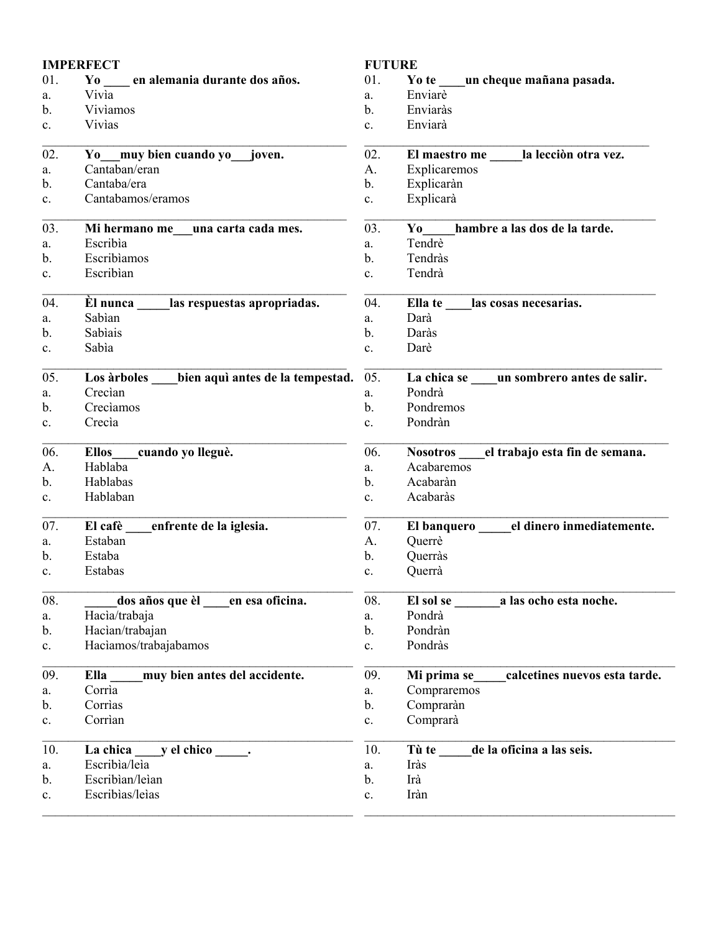| <b>IMPERFECT</b> |                                                 | <b>FUTURE</b>  |                                                 |
|------------------|-------------------------------------------------|----------------|-------------------------------------------------|
| 01.              | Yo en alemania durante dos años.                | 01.            | Yo te un cheque mañana pasada.                  |
| a.               | Vivia                                           | a.             | Enviarè                                         |
| b.               | Viviamos                                        | b.             | Enviaràs                                        |
| c.               | Vivias                                          | $\mathbf{c}$ . | Enviarà                                         |
| 02.              | Yo muy bien cuando yo joven.                    | 02.            | El maestro me _____ la lección otra vez.        |
| a.               | Cantaban/eran                                   | А.             | Explicaremos                                    |
| $\mathbf b$ .    | Cantaba/era                                     | b.             | Explicaràn                                      |
| c.               | Cantabamos/eramos                               | c.             | Explicarà                                       |
| 03.              | una carta cada mes.<br>Mi hermano me            | 03.            | hambre a las dos de la tarde.<br>$\mathbf{Y_0}$ |
| a.               | Escribìa                                        | a.             | Tendrè                                          |
| b.               | Escribiamos                                     | b.             | Tendràs                                         |
| c.               | Escribian                                       | $\mathbf{c}$ . | Tendrà                                          |
| 04.              | El nunca las respuestas apropriadas.            | 04.            | las cosas necesarias.<br>Ella te                |
| a.               | Sabìan                                          | a.             | Darà                                            |
| b.               | Sabìais                                         | b.             | Daràs                                           |
| c.               | Sabìa                                           | c.             | Darè                                            |
| 05.              | bien aquì antes de la tempestad.<br>Los àrboles | 05.            | La chica se un sombrero antes de salir.         |
| a.               | Crecian                                         | a.             | Pondrà                                          |
| b.               | Creciamos                                       | $\mathbf{b}$ . | Pondremos                                       |
| c.               | Crecia                                          | c.             | Pondràn                                         |
| 06.              | cuando yo lleguè.<br><b>Ellos</b>               | 06.            | Nosotros el trabajo esta fin de semana.         |
| А.               | Hablaba                                         | a.             | Acabaremos                                      |
| b.               | Hablabas                                        | b.             | Acabaràn                                        |
| c.               | Hablaban                                        | c.             | Acabaràs                                        |
| 07.              | El cafè<br>enfrente de la iglesia.              | 07.            | el dinero inmediatemente.<br>El banquero        |
| a.               | Estaban                                         | А.             | Querrè                                          |
| b.               | Estaba                                          | b.             | Querràs                                         |
| $\mathbf{c}$ .   | Estabas                                         | c.             | Querrà                                          |
| 08.              | dos años que èl<br>en esa oficina.              | 08.            | El sol se<br>a las ocho esta noche.             |
| a.               | Hacìa/trabaja                                   | a.             | Pondrà                                          |
| $\mathbf{b}$ .   | Hacìan/trabajan                                 | $\mathbf b$ .  | Pondràn                                         |
| c.               | Haciamos/trabajabamos                           | $\mathbf c.$   | Pondràs                                         |
| 09.              | muy bien antes del accidente.<br>Ella           | 09.            | calcetines nuevos esta tarde.<br>Mi prima se    |
| a.               | Corrìa                                          | a.             | Compraremos                                     |
| b.               | Corrìas                                         | b.             | Compraràn                                       |
| c.               | Corrìan                                         | c.             | Comprarà                                        |
| 10.              | y el chico :<br>La chica                        | 10.            | de la oficina a las seis.<br>Tù te              |
| a.               | Escribìa/leìa                                   | a.             | Iràs                                            |
| b.               | Escribìan/leìan                                 | b.             | Irà                                             |
| c.               | Escribìas/leìas                                 | $\mathbf c.$   | Iràn                                            |
|                  |                                                 |                |                                                 |